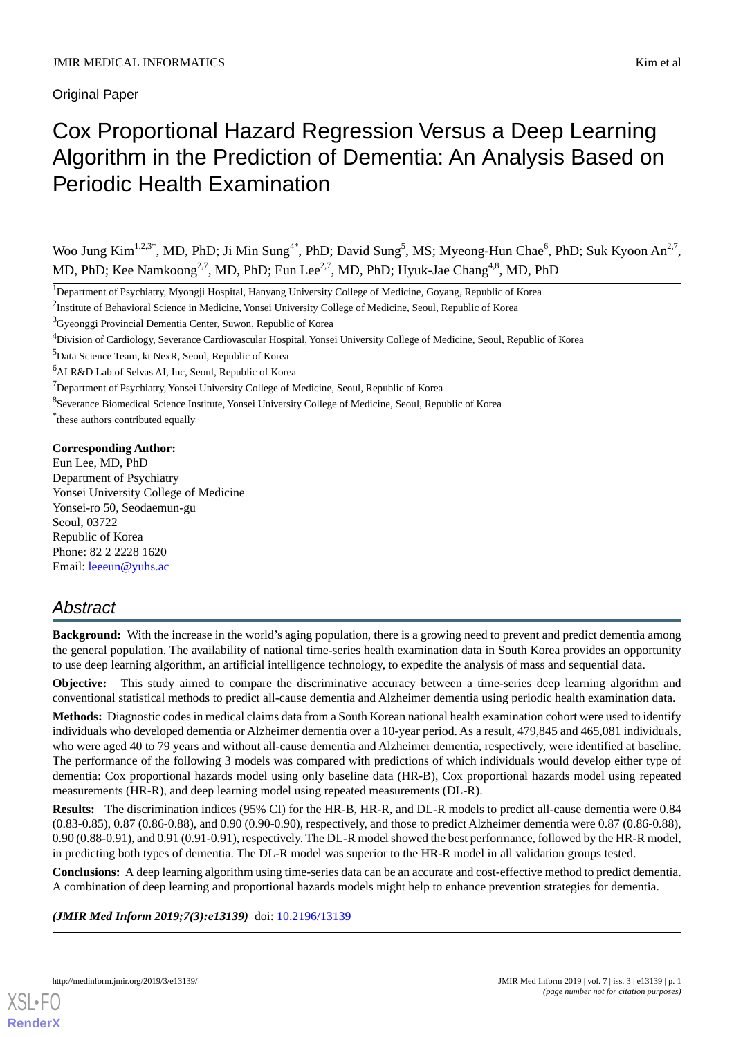Original Paper

# Cox Proportional Hazard Regression Versus a Deep Learning Algorithm in the Prediction of Dementia: An Analysis Based on Periodic Health Examination

Woo Jung Kim<sup>1,2,3\*</sup>, MD, PhD; Ji Min Sung<sup>4\*</sup>, PhD; David Sung<sup>5</sup>, MS; Myeong-Hun Chae<sup>6</sup>, PhD; Suk Kyoon An<sup>2,7</sup>, MD, PhD; Kee Namkoong<sup>2,7</sup>, MD, PhD; Eun Lee<sup>2,7</sup>, MD, PhD; Hyuk-Jae Chang<sup>4,8</sup>, MD, PhD

<sup>6</sup>AI R&D Lab of Selvas AI, Inc, Seoul, Republic of Korea

<sup>7</sup>Department of Psychiatry, Yonsei University College of Medicine, Seoul, Republic of Korea

\* these authors contributed equally

## **Corresponding Author:**

Eun Lee, MD, PhD Department of Psychiatry Yonsei University College of Medicine Yonsei-ro 50, Seodaemun-gu Seoul, 03722 Republic of Korea Phone: 82 2 2228 1620 Email: [leeeun@yuhs.ac](mailto:leeeun@yuhs.ac)

# *Abstract*

**Background:** With the increase in the world's aging population, there is a growing need to prevent and predict dementia among the general population. The availability of national time-series health examination data in South Korea provides an opportunity to use deep learning algorithm, an artificial intelligence technology, to expedite the analysis of mass and sequential data.

**Objective:** This study aimed to compare the discriminative accuracy between a time-series deep learning algorithm and conventional statistical methods to predict all-cause dementia and Alzheimer dementia using periodic health examination data.

**Methods:** Diagnostic codes in medical claims data from a South Korean national health examination cohort were used to identify individuals who developed dementia or Alzheimer dementia over a 10-year period. As a result, 479,845 and 465,081 individuals, who were aged 40 to 79 years and without all-cause dementia and Alzheimer dementia, respectively, were identified at baseline. The performance of the following 3 models was compared with predictions of which individuals would develop either type of dementia: Cox proportional hazards model using only baseline data (HR-B), Cox proportional hazards model using repeated measurements (HR-R), and deep learning model using repeated measurements (DL-R).

**Results:** The discrimination indices (95% CI) for the HR-B, HR-R, and DL-R models to predict all-cause dementia were 0.84 (0.83-0.85), 0.87 (0.86-0.88), and 0.90 (0.90-0.90), respectively, and those to predict Alzheimer dementia were 0.87 (0.86-0.88), 0.90 (0.88-0.91), and 0.91 (0.91-0.91), respectively. The DL-R model showed the best performance, followed by the HR-R model, in predicting both types of dementia. The DL-R model was superior to the HR-R model in all validation groups tested.

**Conclusions:** A deep learning algorithm using time-series data can be an accurate and cost-effective method to predict dementia. A combination of deep learning and proportional hazards models might help to enhance prevention strategies for dementia.

(JMIR Med Inform 2019;7(3):e13139) doi: [10.2196/13139](http://dx.doi.org/10.2196/13139)



<sup>&</sup>lt;sup>1</sup>Department of Psychiatry, Myongji Hospital, Hanyang University College of Medicine, Goyang, Republic of Korea

<sup>&</sup>lt;sup>2</sup>Institute of Behavioral Science in Medicine, Yonsei University College of Medicine, Seoul, Republic of Korea

<sup>&</sup>lt;sup>3</sup>Gyeonggi Provincial Dementia Center, Suwon, Republic of Korea

<sup>4</sup>Division of Cardiology, Severance Cardiovascular Hospital, Yonsei University College of Medicine, Seoul, Republic of Korea

<sup>5</sup>Data Science Team, kt NexR, Seoul, Republic of Korea

<sup>&</sup>lt;sup>8</sup>Severance Biomedical Science Institute, Yonsei University College of Medicine, Seoul, Republic of Korea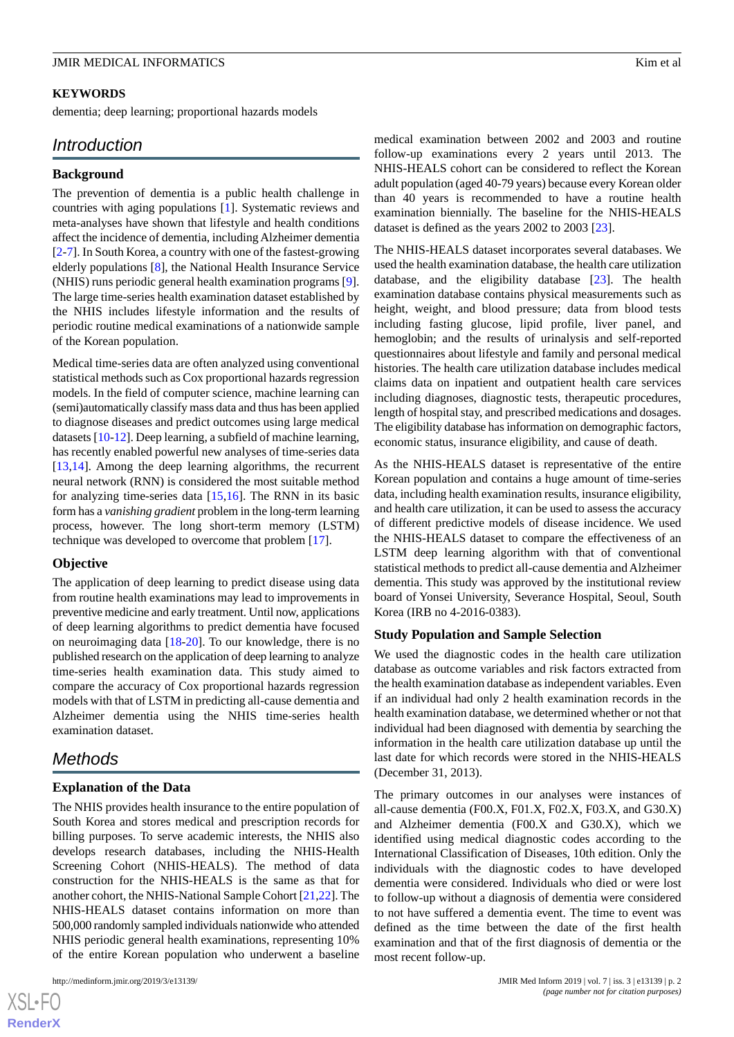#### **KEYWORDS**

dementia; deep learning; proportional hazards models

# *Introduction*

#### **Background**

The prevention of dementia is a public health challenge in countries with aging populations [\[1](#page-10-0)]. Systematic reviews and meta-analyses have shown that lifestyle and health conditions affect the incidence of dementia, including Alzheimer dementia [[2](#page-10-1)[-7](#page-10-2)]. In South Korea, a country with one of the fastest-growing elderly populations [[8](#page-10-3)], the National Health Insurance Service (NHIS) runs periodic general health examination programs [[9\]](#page-10-4). The large time-series health examination dataset established by the NHIS includes lifestyle information and the results of periodic routine medical examinations of a nationwide sample of the Korean population.

Medical time-series data are often analyzed using conventional statistical methods such as Cox proportional hazards regression models. In the field of computer science, machine learning can (semi)automatically classify mass data and thus has been applied to diagnose diseases and predict outcomes using large medical datasets [\[10](#page-10-5)-[12](#page-10-6)]. Deep learning, a subfield of machine learning, has recently enabled powerful new analyses of time-series data [[13](#page-10-7)[,14](#page-11-0)]. Among the deep learning algorithms, the recurrent neural network (RNN) is considered the most suitable method for analyzing time-series data [\[15](#page-11-1),[16\]](#page-11-2). The RNN in its basic form has a *vanishing gradient* problem in the long-term learning process, however. The long short-term memory (LSTM) technique was developed to overcome that problem [[17\]](#page-11-3).

#### **Objective**

The application of deep learning to predict disease using data from routine health examinations may lead to improvements in preventive medicine and early treatment. Until now, applications of deep learning algorithms to predict dementia have focused on neuroimaging data [\[18](#page-11-4)-[20\]](#page-11-5). To our knowledge, there is no published research on the application of deep learning to analyze time-series health examination data. This study aimed to compare the accuracy of Cox proportional hazards regression models with that of LSTM in predicting all-cause dementia and Alzheimer dementia using the NHIS time-series health examination dataset.

# *Methods*

#### **Explanation of the Data**

The NHIS provides health insurance to the entire population of South Korea and stores medical and prescription records for billing purposes. To serve academic interests, the NHIS also develops research databases, including the NHIS-Health Screening Cohort (NHIS-HEALS). The method of data construction for the NHIS-HEALS is the same as that for another cohort, the NHIS-National Sample Cohort [\[21](#page-11-6),[22\]](#page-11-7). The NHIS-HEALS dataset contains information on more than 500,000 randomly sampled individuals nationwide who attended NHIS periodic general health examinations, representing 10% of the entire Korean population who underwent a baseline

medical examination between 2002 and 2003 and routine follow-up examinations every 2 years until 2013. The NHIS-HEALS cohort can be considered to reflect the Korean adult population (aged 40-79 years) because every Korean older than 40 years is recommended to have a routine health examination biennially. The baseline for the NHIS-HEALS dataset is defined as the years 2002 to 2003 [\[23](#page-11-8)].

The NHIS-HEALS dataset incorporates several databases. We used the health examination database, the health care utilization database, and the eligibility database [[23\]](#page-11-8). The health examination database contains physical measurements such as height, weight, and blood pressure; data from blood tests including fasting glucose, lipid profile, liver panel, and hemoglobin; and the results of urinalysis and self-reported questionnaires about lifestyle and family and personal medical histories. The health care utilization database includes medical claims data on inpatient and outpatient health care services including diagnoses, diagnostic tests, therapeutic procedures, length of hospital stay, and prescribed medications and dosages. The eligibility database has information on demographic factors, economic status, insurance eligibility, and cause of death.

As the NHIS-HEALS dataset is representative of the entire Korean population and contains a huge amount of time-series data, including health examination results, insurance eligibility, and health care utilization, it can be used to assess the accuracy of different predictive models of disease incidence. We used the NHIS-HEALS dataset to compare the effectiveness of an LSTM deep learning algorithm with that of conventional statistical methods to predict all-cause dementia and Alzheimer dementia. This study was approved by the institutional review board of Yonsei University, Severance Hospital, Seoul, South Korea (IRB no 4-2016-0383).

#### **Study Population and Sample Selection**

We used the diagnostic codes in the health care utilization database as outcome variables and risk factors extracted from the health examination database as independent variables. Even if an individual had only 2 health examination records in the health examination database, we determined whether or not that individual had been diagnosed with dementia by searching the information in the health care utilization database up until the last date for which records were stored in the NHIS-HEALS (December 31, 2013).

The primary outcomes in our analyses were instances of all-cause dementia (F00.X, F01.X, F02.X, F03.X, and G30.X) and Alzheimer dementia (F00.X and G30.X), which we identified using medical diagnostic codes according to the International Classification of Diseases, 10th edition. Only the individuals with the diagnostic codes to have developed dementia were considered. Individuals who died or were lost to follow-up without a diagnosis of dementia were considered to not have suffered a dementia event. The time to event was defined as the time between the date of the first health examination and that of the first diagnosis of dementia or the most recent follow-up.

 $XSJ \cdot F$ **[RenderX](http://www.renderx.com/)**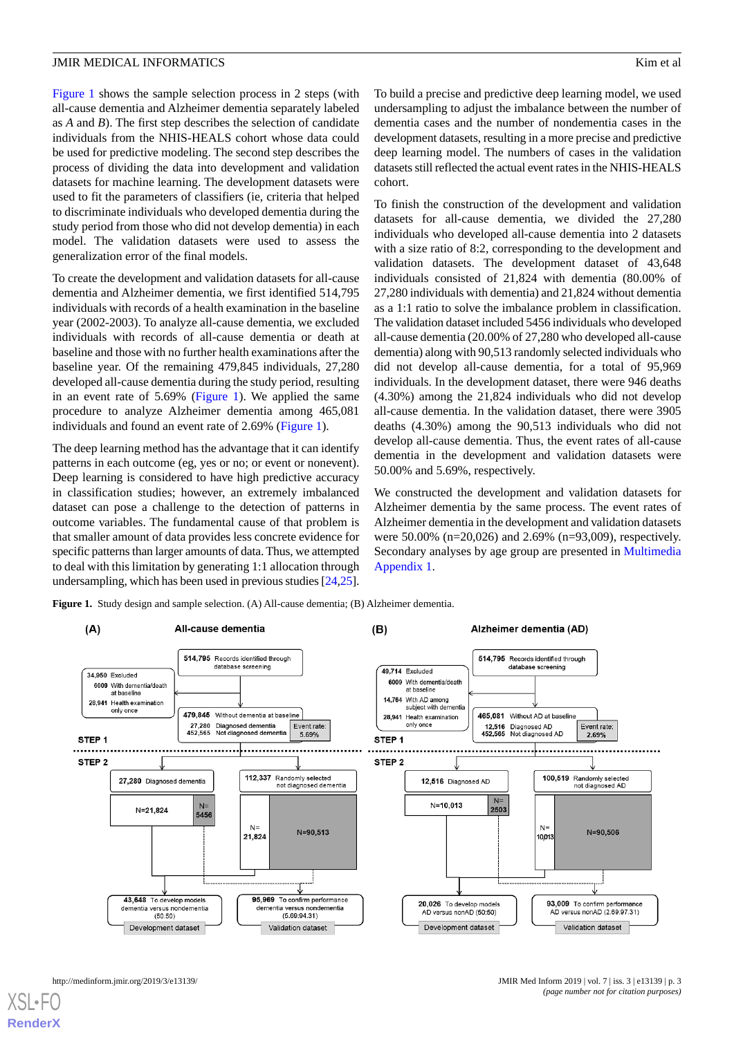[Figure 1](#page-2-0) shows the sample selection process in 2 steps (with all-cause dementia and Alzheimer dementia separately labeled as *A* and *B*). The first step describes the selection of candidate individuals from the NHIS-HEALS cohort whose data could be used for predictive modeling. The second step describes the process of dividing the data into development and validation datasets for machine learning. The development datasets were used to fit the parameters of classifiers (ie, criteria that helped to discriminate individuals who developed dementia during the study period from those who did not develop dementia) in each model. The validation datasets were used to assess the generalization error of the final models.

To create the development and validation datasets for all-cause dementia and Alzheimer dementia, we first identified 514,795 individuals with records of a health examination in the baseline year (2002-2003). To analyze all-cause dementia, we excluded individuals with records of all-cause dementia or death at baseline and those with no further health examinations after the baseline year. Of the remaining 479,845 individuals, 27,280 developed all-cause dementia during the study period, resulting in an event rate of 5.69% ([Figure 1](#page-2-0)). We applied the same procedure to analyze Alzheimer dementia among 465,081 individuals and found an event rate of 2.69% ([Figure 1](#page-2-0)).

The deep learning method has the advantage that it can identify patterns in each outcome (eg, yes or no; or event or nonevent). Deep learning is considered to have high predictive accuracy in classification studies; however, an extremely imbalanced dataset can pose a challenge to the detection of patterns in outcome variables. The fundamental cause of that problem is that smaller amount of data provides less concrete evidence for specific patterns than larger amounts of data. Thus, we attempted to deal with this limitation by generating 1:1 allocation through undersampling, which has been used in previous studies [[24,](#page-11-9)[25\]](#page-11-10).

To build a precise and predictive deep learning model, we used undersampling to adjust the imbalance between the number of dementia cases and the number of nondementia cases in the development datasets, resulting in a more precise and predictive deep learning model. The numbers of cases in the validation datasets still reflected the actual event rates in the NHIS-HEALS cohort.

To finish the construction of the development and validation datasets for all-cause dementia, we divided the 27,280 individuals who developed all-cause dementia into 2 datasets with a size ratio of 8:2, corresponding to the development and validation datasets. The development dataset of 43,648 individuals consisted of 21,824 with dementia (80.00% of 27,280 individuals with dementia) and 21,824 without dementia as a 1:1 ratio to solve the imbalance problem in classification. The validation dataset included 5456 individuals who developed all-cause dementia (20.00% of 27,280 who developed all-cause dementia) along with 90,513 randomly selected individuals who did not develop all-cause dementia, for a total of 95,969 individuals. In the development dataset, there were 946 deaths (4.30%) among the 21,824 individuals who did not develop all-cause dementia. In the validation dataset, there were 3905 deaths (4.30%) among the 90,513 individuals who did not develop all-cause dementia. Thus, the event rates of all-cause dementia in the development and validation datasets were 50.00% and 5.69%, respectively.

We constructed the development and validation datasets for Alzheimer dementia by the same process. The event rates of Alzheimer dementia in the development and validation datasets were 50.00% (n=20,026) and 2.69% (n=93,009), respectively. Secondary analyses by age group are presented in [Multimedia](#page-9-0) [Appendix 1.](#page-9-0)

<span id="page-2-0"></span>**Figure 1.** Study design and sample selection. (A) All-cause dementia; (B) Alzheimer dementia.

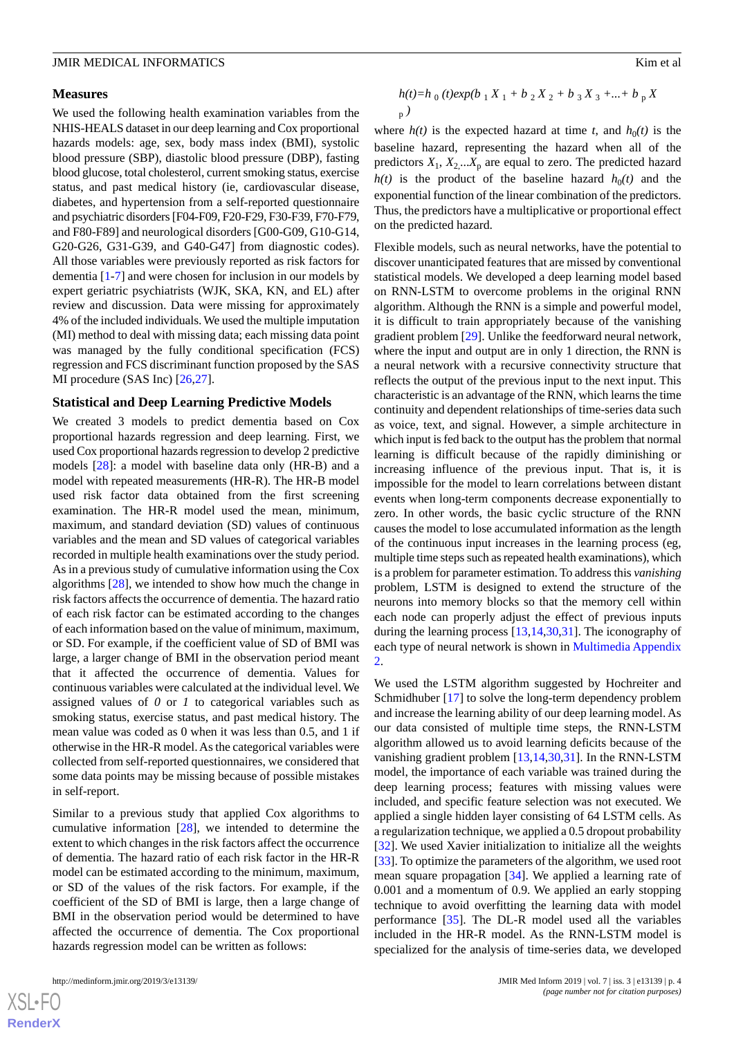#### **Measures**

We used the following health examination variables from the NHIS-HEALS dataset in our deep learning and Cox proportional hazards models: age, sex, body mass index (BMI), systolic blood pressure (SBP), diastolic blood pressure (DBP), fasting blood glucose, total cholesterol, current smoking status, exercise status, and past medical history (ie, cardiovascular disease, diabetes, and hypertension from a self-reported questionnaire and psychiatric disorders [F04-F09, F20-F29, F30-F39, F70-F79, and F80-F89] and neurological disorders [G00-G09, G10-G14, G20-G26, G31-G39, and G40-G47] from diagnostic codes). All those variables were previously reported as risk factors for dementia [[1-](#page-10-0)[7](#page-10-2)] and were chosen for inclusion in our models by expert geriatric psychiatrists (WJK, SKA, KN, and EL) after review and discussion. Data were missing for approximately 4% of the included individuals. We used the multiple imputation (MI) method to deal with missing data; each missing data point was managed by the fully conditional specification (FCS) regression and FCS discriminant function proposed by the SAS MI procedure (SAS Inc) [[26](#page-11-11)[,27](#page-11-12)].

#### **Statistical and Deep Learning Predictive Models**

We created 3 models to predict dementia based on Cox proportional hazards regression and deep learning. First, we used Cox proportional hazards regression to develop 2 predictive models [\[28](#page-11-13)]: a model with baseline data only (HR-B) and a model with repeated measurements (HR-R). The HR-B model used risk factor data obtained from the first screening examination. The HR-R model used the mean, minimum, maximum, and standard deviation (SD) values of continuous variables and the mean and SD values of categorical variables recorded in multiple health examinations over the study period. As in a previous study of cumulative information using the Cox algorithms [\[28](#page-11-13)], we intended to show how much the change in risk factors affects the occurrence of dementia. The hazard ratio of each risk factor can be estimated according to the changes of each information based on the value of minimum, maximum, or SD. For example, if the coefficient value of SD of BMI was large, a larger change of BMI in the observation period meant that it affected the occurrence of dementia. Values for continuous variables were calculated at the individual level. We assigned values of *0* or *1* to categorical variables such as smoking status, exercise status, and past medical history. The mean value was coded as 0 when it was less than 0.5, and 1 if otherwise in the HR-R model. As the categorical variables were collected from self-reported questionnaires, we considered that some data points may be missing because of possible mistakes in self-report.

Similar to a previous study that applied Cox algorithms to cumulative information [\[28](#page-11-13)], we intended to determine the extent to which changes in the risk factors affect the occurrence of dementia. The hazard ratio of each risk factor in the HR-R model can be estimated according to the minimum, maximum, or SD of the values of the risk factors. For example, if the coefficient of the SD of BMI is large, then a large change of BMI in the observation period would be determined to have affected the occurrence of dementia. The Cox proportional hazards regression model can be written as follows:

$$
\frac{h(t) = h_0(t) \exp(b_1 X_1 + b_2 X_2 + b_3 X_3 + \dots + b_p X}{p})
$$

where  $h(t)$  is the expected hazard at time *t*, and  $h_0(t)$  is the baseline hazard, representing the hazard when all of the predictors  $X_1, X_2, ... X_p$  are equal to zero. The predicted hazard  $h(t)$  is the product of the baseline hazard  $h_0(t)$  and the exponential function of the linear combination of the predictors. Thus, the predictors have a multiplicative or proportional effect on the predicted hazard.

Flexible models, such as neural networks, have the potential to discover unanticipated features that are missed by conventional statistical models. We developed a deep learning model based on RNN-LSTM to overcome problems in the original RNN algorithm. Although the RNN is a simple and powerful model, it is difficult to train appropriately because of the vanishing gradient problem [[29\]](#page-11-14). Unlike the feedforward neural network, where the input and output are in only 1 direction, the RNN is a neural network with a recursive connectivity structure that reflects the output of the previous input to the next input. This characteristic is an advantage of the RNN, which learns the time continuity and dependent relationships of time-series data such as voice, text, and signal. However, a simple architecture in which input is fed back to the output has the problem that normal learning is difficult because of the rapidly diminishing or increasing influence of the previous input. That is, it is impossible for the model to learn correlations between distant events when long-term components decrease exponentially to zero. In other words, the basic cyclic structure of the RNN causes the model to lose accumulated information as the length of the continuous input increases in the learning process (eg, multiple time steps such as repeated health examinations), which is a problem for parameter estimation. To address this *vanishing* problem, LSTM is designed to extend the structure of the neurons into memory blocks so that the memory cell within each node can properly adjust the effect of previous inputs during the learning process [\[13](#page-10-7),[14,](#page-11-0)[30](#page-11-15),[31\]](#page-11-16). The iconography of each type of neural network is shown in [Multimedia Appendix](#page-9-1) [2.](#page-9-1)

We used the LSTM algorithm suggested by Hochreiter and Schmidhuber [[17\]](#page-11-3) to solve the long-term dependency problem and increase the learning ability of our deep learning model. As our data consisted of multiple time steps, the RNN-LSTM algorithm allowed us to avoid learning deficits because of the vanishing gradient problem [[13,](#page-10-7)[14](#page-11-0),[30,](#page-11-15)[31](#page-11-16)]. In the RNN-LSTM model, the importance of each variable was trained during the deep learning process; features with missing values were included, and specific feature selection was not executed. We applied a single hidden layer consisting of 64 LSTM cells. As a regularization technique, we applied a 0.5 dropout probability [[32\]](#page-11-17). We used Xavier initialization to initialize all the weights [[33\]](#page-11-18). To optimize the parameters of the algorithm, we used root mean square propagation [\[34](#page-11-19)]. We applied a learning rate of 0.001 and a momentum of 0.9. We applied an early stopping technique to avoid overfitting the learning data with model performance [\[35](#page-11-20)]. The DL-R model used all the variables included in the HR-R model. As the RNN-LSTM model is specialized for the analysis of time-series data, we developed

 $XS$  $\cdot$ FC **[RenderX](http://www.renderx.com/)**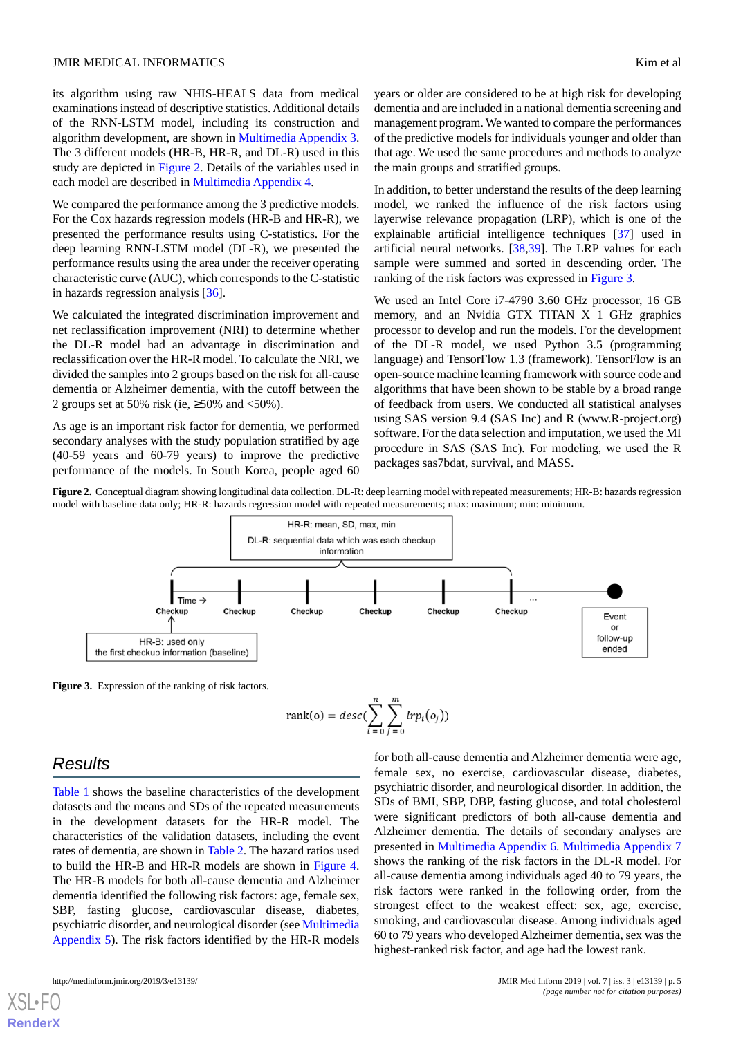its algorithm using raw NHIS-HEALS data from medical examinations instead of descriptive statistics. Additional details of the RNN-LSTM model, including its construction and algorithm development, are shown in [Multimedia Appendix 3](#page-9-2). The 3 different models (HR-B, HR-R, and DL-R) used in this study are depicted in [Figure 2](#page-4-0). Details of the variables used in each model are described in [Multimedia Appendix 4](#page-9-3).

We compared the performance among the 3 predictive models. For the Cox hazards regression models (HR-B and HR-R), we presented the performance results using C-statistics. For the deep learning RNN-LSTM model (DL-R), we presented the performance results using the area under the receiver operating characteristic curve (AUC), which corresponds to the C-statistic in hazards regression analysis [\[36](#page-11-21)].

We calculated the integrated discrimination improvement and net reclassification improvement (NRI) to determine whether the DL-R model had an advantage in discrimination and reclassification over the HR-R model. To calculate the NRI, we divided the samples into 2 groups based on the risk for all-cause dementia or Alzheimer dementia, with the cutoff between the 2 groups set at 50% risk (ie,  $\geq$ 50% and <50%).

<span id="page-4-0"></span>As age is an important risk factor for dementia, we performed secondary analyses with the study population stratified by age (40-59 years and 60-79 years) to improve the predictive performance of the models. In South Korea, people aged 60

years or older are considered to be at high risk for developing dementia and are included in a national dementia screening and management program. We wanted to compare the performances of the predictive models for individuals younger and older than that age. We used the same procedures and methods to analyze the main groups and stratified groups.

In addition, to better understand the results of the deep learning model, we ranked the influence of the risk factors using layerwise relevance propagation (LRP), which is one of the explainable artificial intelligence techniques [[37\]](#page-11-22) used in artificial neural networks. [\[38](#page-12-0),[39\]](#page-12-1). The LRP values for each sample were summed and sorted in descending order. The ranking of the risk factors was expressed in [Figure 3.](#page-4-1)

We used an Intel Core i7-4790 3.60 GHz processor, 16 GB memory, and an Nvidia GTX TITAN X 1 GHz graphics processor to develop and run the models. For the development of the DL-R model, we used Python 3.5 (programming language) and TensorFlow 1.3 (framework). TensorFlow is an open-source machine learning framework with source code and algorithms that have been shown to be stable by a broad range of feedback from users. We conducted all statistical analyses using SAS version 9.4 (SAS Inc) and R (www.R-project.org) software. For the data selection and imputation, we used the MI procedure in SAS (SAS Inc). For modeling, we used the R packages sas7bdat, survival, and MASS.

Figure 2. Conceptual diagram showing longitudinal data collection. DL-R: deep learning model with repeated measurements; HR-B: hazards regression model with baseline data only; HR-R: hazards regression model with repeated measurements; max: maximum; min: minimum.



<span id="page-4-1"></span>**Figure 3.** Expression of the ranking of risk factors.

rank(o) = desc(
$$
\sum_{i=0}^{n} \sum_{j=0}^{m} lrp_i(o_j)
$$
)

# *Results*

[XSL](http://www.w3.org/Style/XSL)•FO **[RenderX](http://www.renderx.com/)**

[Table 1](#page-5-0) shows the baseline characteristics of the development datasets and the means and SDs of the repeated measurements in the development datasets for the HR-R model. The characteristics of the validation datasets, including the event rates of dementia, are shown in [Table 2.](#page-5-1) The hazard ratios used to build the HR-B and HR-R models are shown in [Figure 4](#page-6-0). The HR-B models for both all-cause dementia and Alzheimer dementia identified the following risk factors: age, female sex, SBP, fasting glucose, cardiovascular disease, diabetes, psychiatric disorder, and neurological disorder (see [Multimedia](#page-9-4) [Appendix 5](#page-9-4)). The risk factors identified by the HR-R models

for both all-cause dementia and Alzheimer dementia were age, female sex, no exercise, cardiovascular disease, diabetes, psychiatric disorder, and neurological disorder. In addition, the SDs of BMI, SBP, DBP, fasting glucose, and total cholesterol were significant predictors of both all-cause dementia and Alzheimer dementia. The details of secondary analyses are presented in [Multimedia Appendix 6](#page-9-5). [Multimedia Appendix 7](#page-10-8) shows the ranking of the risk factors in the DL-R model. For all-cause dementia among individuals aged 40 to 79 years, the risk factors were ranked in the following order, from the strongest effect to the weakest effect: sex, age, exercise, smoking, and cardiovascular disease. Among individuals aged 60 to 79 years who developed Alzheimer dementia, sex was the highest-ranked risk factor, and age had the lowest rank.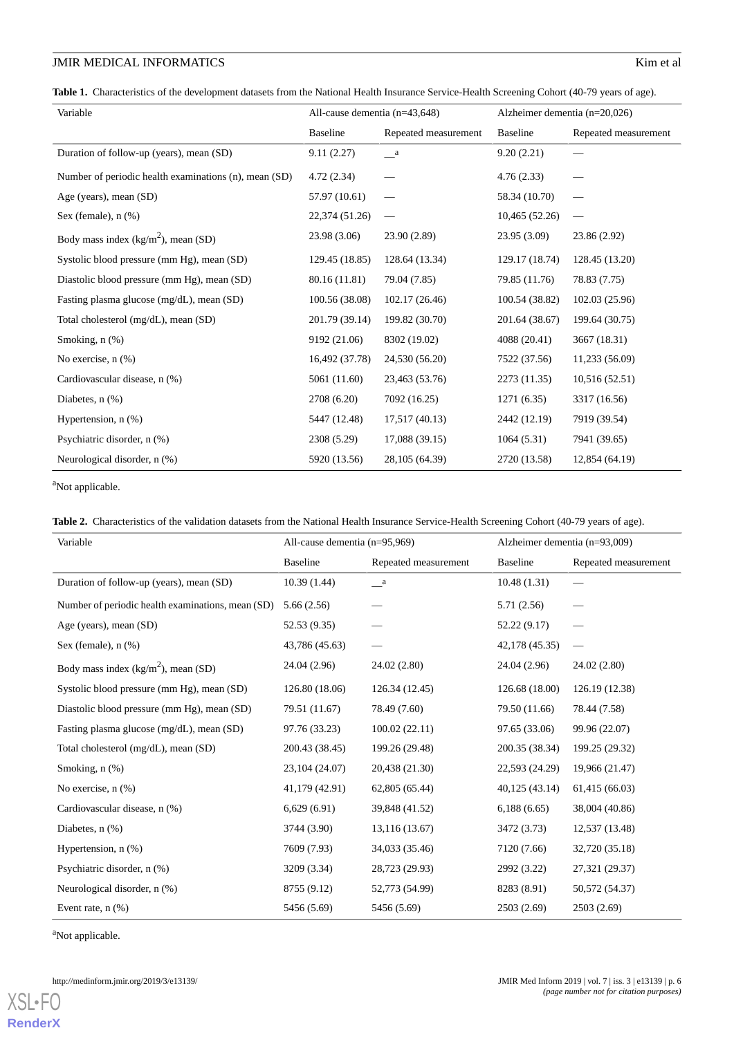<span id="page-5-0"></span>Table 1. Characteristics of the development datasets from the National Health Insurance Service-Health Screening Cohort (40-79 years of age).

| Variable                                              | All-cause dementia $(n=43,648)$ |                      | Alzheimer dementia ( $n=20,026$ ) |                      |
|-------------------------------------------------------|---------------------------------|----------------------|-----------------------------------|----------------------|
|                                                       | <b>Baseline</b>                 | Repeated measurement | <b>Baseline</b>                   | Repeated measurement |
| Duration of follow-up (years), mean (SD)              | 9.11(2.27)                      | $\_\,a$              | 9.20(2.21)                        |                      |
| Number of periodic health examinations (n), mean (SD) | 4.72(2.34)                      |                      | 4.76(2.33)                        |                      |
| Age (years), mean (SD)                                | 57.97 (10.61)                   | -                    | 58.34 (10.70)                     |                      |
| Sex (female), $n$ $(\%)$                              | 22,374 (51.26)                  |                      | 10,465 (52.26)                    |                      |
| Body mass index $(kg/m2)$ , mean (SD)                 | 23.98 (3.06)                    | 23.90 (2.89)         | 23.95 (3.09)                      | 23.86 (2.92)         |
| Systolic blood pressure (mm Hg), mean (SD)            | 129.45 (18.85)                  | 128.64 (13.34)       | 129.17 (18.74)                    | 128.45 (13.20)       |
| Diastolic blood pressure (mm Hg), mean (SD)           | 80.16 (11.81)                   | 79.04 (7.85)         | 79.85 (11.76)                     | 78.83 (7.75)         |
| Fasting plasma glucose (mg/dL), mean (SD)             | 100.56 (38.08)                  | 102.17 (26.46)       | 100.54 (38.82)                    | 102.03 (25.96)       |
| Total cholesterol (mg/dL), mean (SD)                  | 201.79 (39.14)                  | 199.82 (30.70)       | 201.64 (38.67)                    | 199.64 (30.75)       |
| Smoking, n (%)                                        | 9192 (21.06)                    | 8302 (19.02)         | 4088 (20.41)                      | 3667 (18.31)         |
| No exercise, n (%)                                    | 16,492 (37.78)                  | 24,530 (56.20)       | 7522 (37.56)                      | 11,233 (56.09)       |
| Cardiovascular disease, n (%)                         | 5061 (11.60)                    | 23,463 (53.76)       | 2273 (11.35)                      | 10,516(52.51)        |
| Diabetes, $n$ $(\%)$                                  | 2708 (6.20)                     | 7092 (16.25)         | 1271(6.35)                        | 3317 (16.56)         |
| Hypertension, $n$ $(\%)$                              | 5447 (12.48)                    | 17,517 (40.13)       | 2442 (12.19)                      | 7919 (39.54)         |
| Psychiatric disorder, n (%)                           | 2308 (5.29)                     | 17,088 (39.15)       | 1064(5.31)                        | 7941 (39.65)         |
| Neurological disorder, n (%)                          | 5920 (13.56)                    | 28,105 (64.39)       | 2720 (13.58)                      | 12,854 (64.19)       |

<span id="page-5-1"></span><sup>a</sup>Not applicable.

|  | Table 2. Characteristics of the validation datasets from the National Health Insurance Service-Health Screening Cohort (40-79 years of age). |  |  |  |  |  |  |
|--|----------------------------------------------------------------------------------------------------------------------------------------------|--|--|--|--|--|--|
|--|----------------------------------------------------------------------------------------------------------------------------------------------|--|--|--|--|--|--|

| Variable                                          | All-cause dementia $(n=95,969)$ |                      | Alzheimer dementia $(n=93,009)$ |                      |
|---------------------------------------------------|---------------------------------|----------------------|---------------------------------|----------------------|
|                                                   | <b>Baseline</b>                 | Repeated measurement | <b>Baseline</b>                 | Repeated measurement |
| Duration of follow-up (years), mean (SD)          | 10.39(1.44)                     | <sub>a</sub>         | 10.48(1.31)                     |                      |
| Number of periodic health examinations, mean (SD) | 5.66(2.56)                      |                      | 5.71(2.56)                      |                      |
| Age (years), mean (SD)                            | 52.53 (9.35)                    |                      | 52.22 (9.17)                    |                      |
| Sex (female), $n$ $%$ )                           | 43,786 (45.63)                  |                      | 42,178 (45.35)                  |                      |
| Body mass index $(kg/m2)$ , mean (SD)             | 24.04 (2.96)                    | 24.02 (2.80)         | 24.04 (2.96)                    | 24.02 (2.80)         |
| Systolic blood pressure (mm Hg), mean (SD)        | 126.80 (18.06)                  | 126.34 (12.45)       | 126.68 (18.00)                  | 126.19 (12.38)       |
| Diastolic blood pressure (mm Hg), mean (SD)       | 79.51 (11.67)                   | 78.49 (7.60)         | 79.50 (11.66)                   | 78.44 (7.58)         |
| Fasting plasma glucose (mg/dL), mean (SD)         | 97.76 (33.23)                   | 100.02(22.11)        | 97.65 (33.06)                   | 99.96 (22.07)        |
| Total cholesterol (mg/dL), mean (SD)              | 200.43 (38.45)                  | 199.26 (29.48)       | 200.35 (38.34)                  | 199.25 (29.32)       |
| Smoking, $n$ $(\%)$                               | 23,104 (24.07)                  | 20,438 (21.30)       | 22,593 (24.29)                  | 19,966 (21.47)       |
| No exercise, $n$ $(\%)$                           | 41,179 (42.91)                  | 62,805 (65.44)       | 40,125 (43.14)                  | 61,415 (66.03)       |
| Cardiovascular disease, n (%)                     | 6,629(6.91)                     | 39,848 (41.52)       | 6,188(6.65)                     | 38,004 (40.86)       |
| Diabetes, $n$ $(\%)$                              | 3744 (3.90)                     | 13,116 (13.67)       | 3472 (3.73)                     | 12,537 (13.48)       |
| Hypertension, $n$ $(\%)$                          | 7609 (7.93)                     | 34,033 (35.46)       | 7120 (7.66)                     | 32,720 (35.18)       |
| Psychiatric disorder, n (%)                       | 3209 (3.34)                     | 28,723 (29.93)       | 2992 (3.22)                     | 27,321 (29.37)       |
| Neurological disorder, n (%)                      | 8755 (9.12)                     | 52,773 (54.99)       | 8283 (8.91)                     | 50,572 (54.37)       |
| Event rate, $n$ $(\%)$                            | 5456 (5.69)                     | 5456 (5.69)          | 2503 (2.69)                     | 2503 (2.69)          |

<sup>a</sup>Not applicable.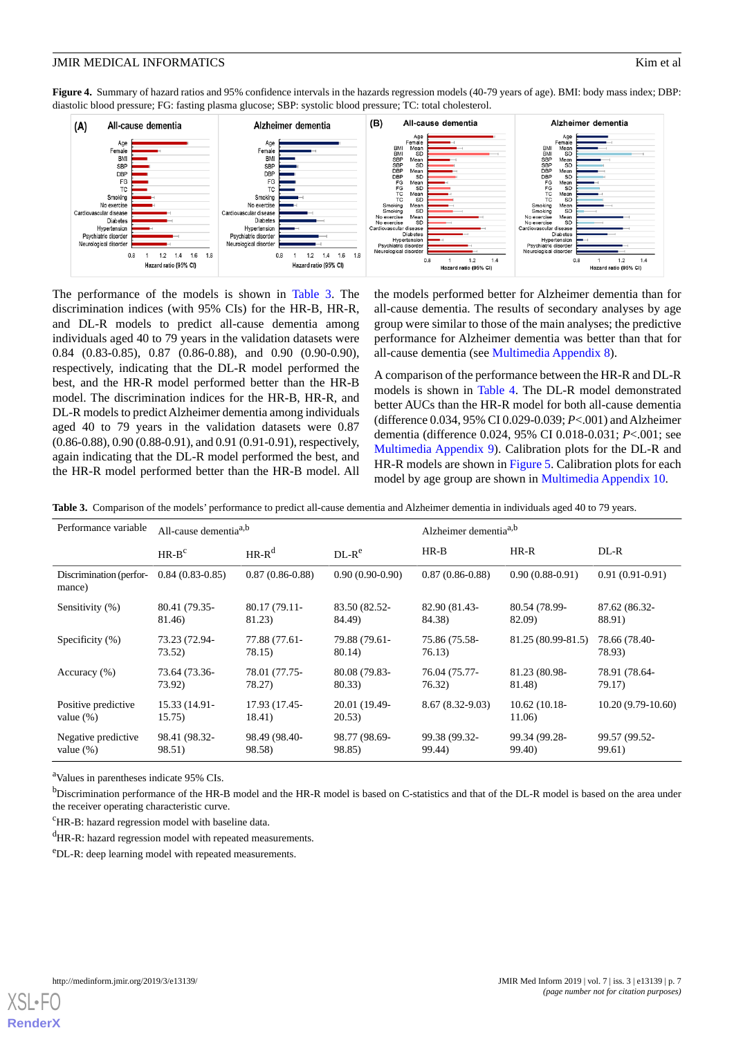<span id="page-6-0"></span>**Figure 4.** Summary of hazard ratios and 95% confidence intervals in the hazards regression models (40-79 years of age). BMI: body mass index; DBP: diastolic blood pressure; FG: fasting plasma glucose; SBP: systolic blood pressure; TC: total cholesterol.



The performance of the models is shown in [Table 3.](#page-6-1) The discrimination indices (with 95% CIs) for the HR-B, HR-R, and DL-R models to predict all-cause dementia among individuals aged 40 to 79 years in the validation datasets were 0.84 (0.83-0.85), 0.87 (0.86-0.88), and 0.90 (0.90-0.90), respectively, indicating that the DL-R model performed the best, and the HR-R model performed better than the HR-B model. The discrimination indices for the HR-B, HR-R, and DL-R models to predict Alzheimer dementia among individuals aged 40 to 79 years in the validation datasets were 0.87 (0.86-0.88), 0.90 (0.88-0.91), and 0.91 (0.91-0.91), respectively, again indicating that the DL-R model performed the best, and the HR-R model performed better than the HR-B model. All the models performed better for Alzheimer dementia than for all-cause dementia. The results of secondary analyses by age group were similar to those of the main analyses; the predictive performance for Alzheimer dementia was better than that for all-cause dementia (see [Multimedia Appendix 8\)](#page-10-9).

A comparison of the performance between the HR-R and DL-R models is shown in [Table 4](#page-7-0). The DL-R model demonstrated better AUCs than the HR-R model for both all-cause dementia (difference 0.034, 95% CI 0.029-0.039; *P*<.001) and Alzheimer dementia (difference 0.024, 95% CI 0.018-0.031; *P*<.001; see [Multimedia Appendix 9\)](#page-10-10). Calibration plots for the DL-R and HR-R models are shown in [Figure 5.](#page-7-1) Calibration plots for each model by age group are shown in [Multimedia Appendix 10.](#page-10-11)

<span id="page-6-1"></span>**Table 3.** Comparison of the models' performance to predict all-cause dementia and Alzheimer dementia in individuals aged 40 to 79 years.

| Performance variable                | All-cause dementia <sup>a,b</sup> |                         |                         | Alzheimer dementia <sup>a,b</sup> |                          |                         |
|-------------------------------------|-----------------------------------|-------------------------|-------------------------|-----------------------------------|--------------------------|-------------------------|
|                                     | $HR-Bc$                           | $HR-R^d$                | $DL-Re$                 | $HR-B$                            | $HR-R$                   | $DL-R$                  |
| Discrimination (perfor-<br>mance)   | $0.84(0.83-0.85)$                 | $0.87(0.86-0.88)$       | $0.90(0.90-0.90)$       | $0.87(0.86-0.88)$                 | $0.90(0.88-0.91)$        | $0.91(0.91-0.91)$       |
| Sensitivity (%)                     | 80.41 (79.35-<br>81.46)           | 80.17 (79.11-<br>81.23) | 83.50 (82.52-<br>84.49) | 82.90 (81.43-<br>84.38)           | 80.54 (78.99-<br>82.09)  | 87.62 (86.32-<br>88.91) |
| Specificity (%)                     | 73.23 (72.94-<br>73.52)           | 77.88 (77.61-<br>78.15) | 79.88 (79.61-<br>80.14) | 75.86 (75.58-<br>76.13)           | 81.25 (80.99-81.5)       | 78.66 (78.40-<br>78.93) |
| Accuracy $(\% )$                    | 73.64 (73.36-<br>73.92)           | 78.01 (77.75-<br>78.27) | 80.08 (79.83-<br>80.33) | 76.04 (75.77-<br>76.32)           | 81.23 (80.98-<br>81.48)  | 78.91 (78.64-<br>79.17) |
| Positive predictive<br>value $(\%)$ | 15.33 (14.91-<br>15.75)           | 17.93 (17.45-<br>18.41) | 20.01 (19.49-<br>20.53) | $8.67(8.32-9.03)$                 | $10.62(10.18-$<br>11.06) | $10.20(9.79-10.60)$     |
| Negative predictive<br>value $(\%)$ | 98.41 (98.32-<br>98.51)           | 98.49 (98.40-<br>98.58) | 98.77 (98.69-<br>98.85) | 99.38 (99.32-<br>99.44)           | 99.34 (99.28-<br>99.40)  | 99.57 (99.52-<br>99.61) |

<sup>a</sup>Values in parentheses indicate 95% CIs.

<sup>b</sup>Discrimination performance of the HR-B model and the HR-R model is based on C-statistics and that of the DL-R model is based on the area under the receiver operating characteristic curve.

 ${}^{\text{c}}$ HR-B: hazard regression model with baseline data.

<sup>d</sup>HR-R: hazard regression model with repeated measurements.

<sup>e</sup>DL-R: deep learning model with repeated measurements.

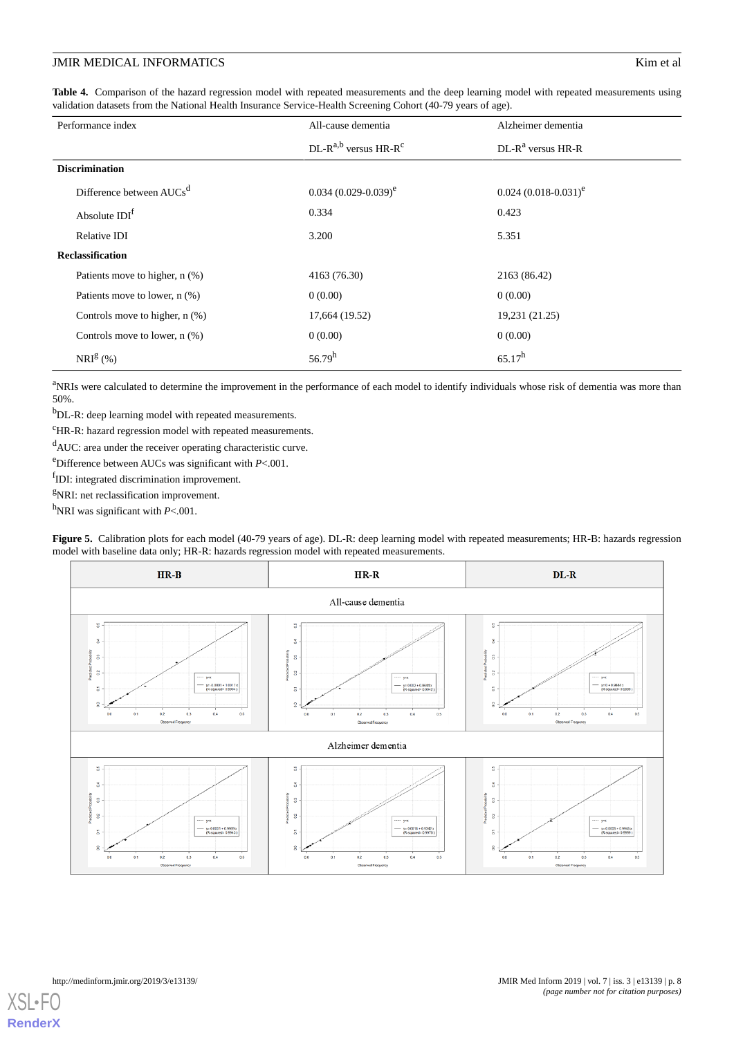<span id="page-7-0"></span>**Table 4.** Comparison of the hazard regression model with repeated measurements and the deep learning model with repeated measurements using validation datasets from the National Health Insurance Service-Health Screening Cohort (40-79 years of age).

| Performance index                    | All-cause dementia                    | Alzheimer dementia          |
|--------------------------------------|---------------------------------------|-----------------------------|
|                                      | $DL-R^{a,b}$ versus HR-R <sup>c</sup> | $DL-R^a$ versus HR-R        |
| <b>Discrimination</b>                |                                       |                             |
| Difference between AUCs <sup>d</sup> | $0.034$ $(0.029 - 0.039)^e$           | $0.024$ $(0.018 - 0.031)^e$ |
| Absolute IDI <sup>f</sup>            | 0.334                                 | 0.423                       |
| Relative IDI                         | 3.200                                 | 5.351                       |
| <b>Reclassification</b>              |                                       |                             |
| Patients move to higher, n (%)       | 4163 (76.30)                          | 2163 (86.42)                |
| Patients move to lower, $n$ (%)      | 0(0.00)                               | 0(0.00)                     |
| Controls move to higher, $n$ $%$ )   | 17,664 (19.52)                        | 19,231 (21.25)              |
| Controls move to lower, $n$ $(\%)$   | 0(0.00)                               | 0(0.00)                     |
| $NRI^{g}$ (%)                        | 56.79 <sup>h</sup>                    | $65.17^h$                   |

<sup>a</sup>NRIs were calculated to determine the improvement in the performance of each model to identify individuals whose risk of dementia was more than 50%.

<sup>b</sup>DL-R: deep learning model with repeated measurements.

<sup>c</sup>HR-R: hazard regression model with repeated measurements.

<sup>d</sup>AUC: area under the receiver operating characteristic curve.

<sup>e</sup>Difference between AUCs was significant with *P*<.001.

<span id="page-7-1"></span>fIDI: integrated discrimination improvement.

<sup>g</sup>NRI: net reclassification improvement.

<sup>h</sup>NRI was significant with *P*<.001.

 $HR-B$  $HR-R$  $DL-R$ All-cause dementia ł, ¥ ķ,  $\frac{4}{5}$ ź  $\overline{3}$ i. á  $\frac{2}{3}$  $\sim$  $\alpha$  $y=0+0.944$ yr -0.0001 å  $0.3$  $0.4$ óś  $\overline{0}$  $0.3$  $0.4$  $0.5$  $0.3$  $0.4$ ós Alzheimer dementia ġ X ğ ă þ ă  $\frac{3}{2}$  $\overline{a}$ ă  $\overline{0}$  $\ddot{a}$  $\frac{1}{2}$ ż š  $\ddot{\alpha}$  $\ddot{\circ}$ 

**Figure 5.** Calibration plots for each model (40-79 years of age). DL-R: deep learning model with repeated measurements; HR-B: hazards regression model with baseline data only; HR-R: hazards regression model with repeated measurements.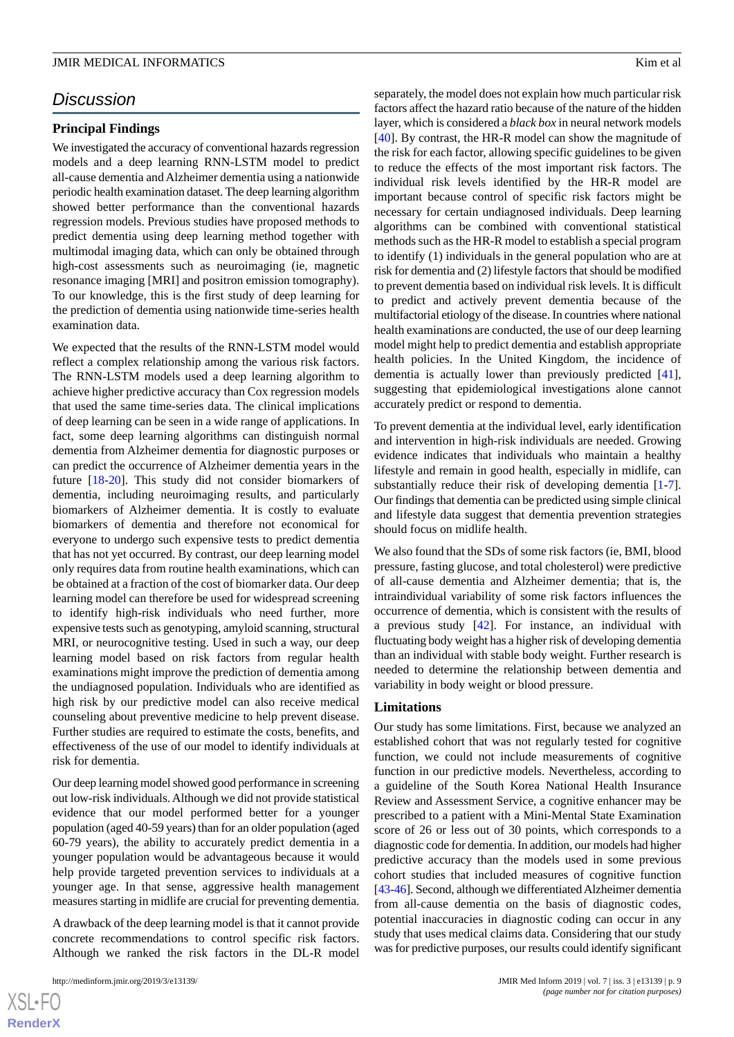# *Discussion*

#### **Principal Findings**

We investigated the accuracy of conventional hazards regression models and a deep learning RNN-LSTM model to predict all-cause dementia and Alzheimer dementia using a nationwide periodic health examination dataset. The deep learning algorithm showed better performance than the conventional hazards regression models. Previous studies have proposed methods to predict dementia using deep learning method together with multimodal imaging data, which can only be obtained through high-cost assessments such as neuroimaging (ie, magnetic resonance imaging [MRI] and positron emission tomography). To our knowledge, this is the first study of deep learning for the prediction of dementia using nationwide time-series health examination data.

We expected that the results of the RNN-LSTM model would reflect a complex relationship among the various risk factors. The RNN-LSTM models used a deep learning algorithm to achieve higher predictive accuracy than Cox regression models that used the same time-series data. The clinical implications of deep learning can be seen in a wide range of applications. In fact, some deep learning algorithms can distinguish normal dementia from Alzheimer dementia for diagnostic purposes or can predict the occurrence of Alzheimer dementia years in the future [[18-](#page-11-4)[20](#page-11-5)]. This study did not consider biomarkers of dementia, including neuroimaging results, and particularly biomarkers of Alzheimer dementia. It is costly to evaluate biomarkers of dementia and therefore not economical for everyone to undergo such expensive tests to predict dementia that has not yet occurred. By contrast, our deep learning model only requires data from routine health examinations, which can be obtained at a fraction of the cost of biomarker data. Our deep learning model can therefore be used for widespread screening to identify high-risk individuals who need further, more expensive tests such as genotyping, amyloid scanning, structural MRI, or neurocognitive testing. Used in such a way, our deep learning model based on risk factors from regular health examinations might improve the prediction of dementia among the undiagnosed population. Individuals who are identified as high risk by our predictive model can also receive medical counseling about preventive medicine to help prevent disease. Further studies are required to estimate the costs, benefits, and effectiveness of the use of our model to identify individuals at risk for dementia.

Our deep learning model showed good performance in screening out low-risk individuals. Although we did not provide statistical evidence that our model performed better for a younger population (aged 40-59 years) than for an older population (aged 60-79 years), the ability to accurately predict dementia in a younger population would be advantageous because it would help provide targeted prevention services to individuals at a younger age. In that sense, aggressive health management measures starting in midlife are crucial for preventing dementia.

A drawback of the deep learning model is that it cannot provide concrete recommendations to control specific risk factors. Although we ranked the risk factors in the DL-R model

 $XS$ -FO **[RenderX](http://www.renderx.com/)**

separately, the model does not explain how much particular risk factors affect the hazard ratio because of the nature of the hidden layer, which is considered a *black box* in neural network models [[40\]](#page-12-2). By contrast, the HR-R model can show the magnitude of the risk for each factor, allowing specific guidelines to be given to reduce the effects of the most important risk factors. The individual risk levels identified by the HR-R model are important because control of specific risk factors might be necessary for certain undiagnosed individuals. Deep learning algorithms can be combined with conventional statistical methods such as the HR-R model to establish a special program to identify (1) individuals in the general population who are at risk for dementia and (2) lifestyle factors that should be modified to prevent dementia based on individual risk levels. It is difficult to predict and actively prevent dementia because of the multifactorial etiology of the disease. In countries where national health examinations are conducted, the use of our deep learning model might help to predict dementia and establish appropriate health policies. In the United Kingdom, the incidence of dementia is actually lower than previously predicted [[41\]](#page-12-3), suggesting that epidemiological investigations alone cannot accurately predict or respond to dementia.

To prevent dementia at the individual level, early identification and intervention in high-risk individuals are needed. Growing evidence indicates that individuals who maintain a healthy lifestyle and remain in good health, especially in midlife, can substantially reduce their risk of developing dementia [[1-](#page-10-0)[7\]](#page-10-2). Our findings that dementia can be predicted using simple clinical and lifestyle data suggest that dementia prevention strategies should focus on midlife health.

We also found that the SDs of some risk factors (ie, BMI, blood pressure, fasting glucose, and total cholesterol) were predictive of all-cause dementia and Alzheimer dementia; that is, the intraindividual variability of some risk factors influences the occurrence of dementia, which is consistent with the results of a previous study [\[42](#page-12-4)]. For instance, an individual with fluctuating body weight has a higher risk of developing dementia than an individual with stable body weight. Further research is needed to determine the relationship between dementia and variability in body weight or blood pressure.

#### **Limitations**

Our study has some limitations. First, because we analyzed an established cohort that was not regularly tested for cognitive function, we could not include measurements of cognitive function in our predictive models. Nevertheless, according to a guideline of the South Korea National Health Insurance Review and Assessment Service, a cognitive enhancer may be prescribed to a patient with a Mini-Mental State Examination score of 26 or less out of 30 points, which corresponds to a diagnostic code for dementia. In addition, our models had higher predictive accuracy than the models used in some previous cohort studies that included measures of cognitive function [[43-](#page-12-5)[46\]](#page-12-6). Second, although we differentiated Alzheimer dementia from all-cause dementia on the basis of diagnostic codes, potential inaccuracies in diagnostic coding can occur in any study that uses medical claims data. Considering that our study was for predictive purposes, our results could identify significant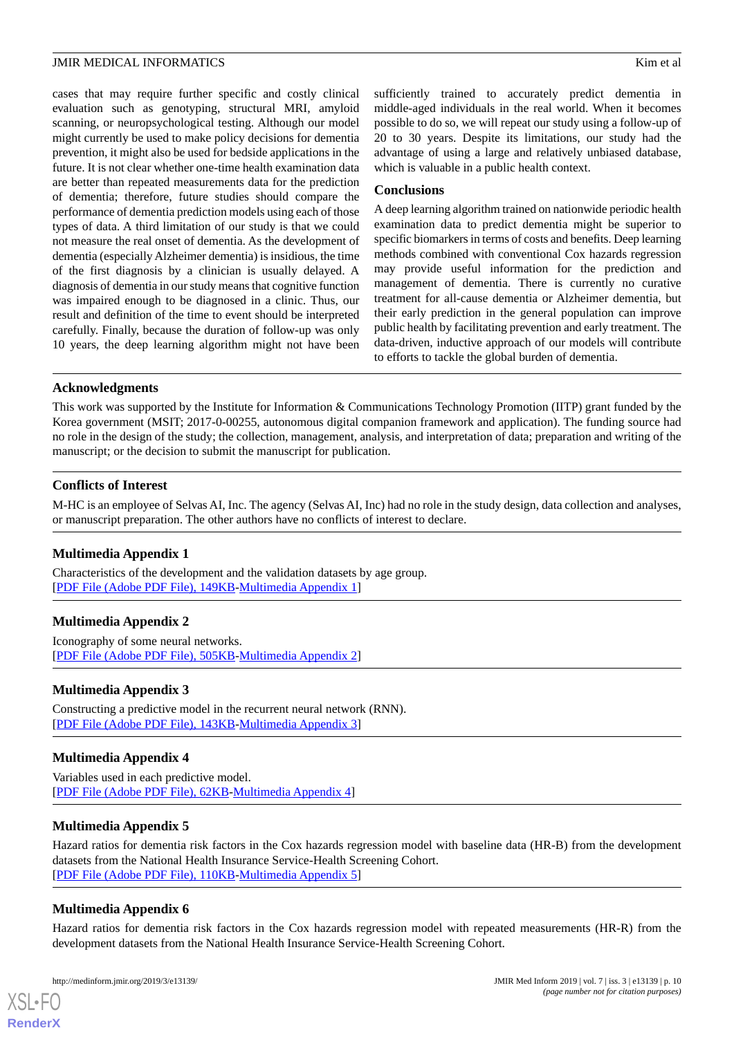cases that may require further specific and costly clinical evaluation such as genotyping, structural MRI, amyloid scanning, or neuropsychological testing. Although our model might currently be used to make policy decisions for dementia prevention, it might also be used for bedside applications in the future. It is not clear whether one-time health examination data are better than repeated measurements data for the prediction of dementia; therefore, future studies should compare the performance of dementia prediction models using each of those types of data. A third limitation of our study is that we could not measure the real onset of dementia. As the development of dementia (especially Alzheimer dementia) is insidious, the time of the first diagnosis by a clinician is usually delayed. A diagnosis of dementia in our study means that cognitive function was impaired enough to be diagnosed in a clinic. Thus, our result and definition of the time to event should be interpreted carefully. Finally, because the duration of follow-up was only 10 years, the deep learning algorithm might not have been

sufficiently trained to accurately predict dementia in middle-aged individuals in the real world. When it becomes possible to do so, we will repeat our study using a follow-up of 20 to 30 years. Despite its limitations, our study had the advantage of using a large and relatively unbiased database, which is valuable in a public health context.

# **Conclusions**

A deep learning algorithm trained on nationwide periodic health examination data to predict dementia might be superior to specific biomarkers in terms of costs and benefits. Deep learning methods combined with conventional Cox hazards regression may provide useful information for the prediction and management of dementia. There is currently no curative treatment for all-cause dementia or Alzheimer dementia, but their early prediction in the general population can improve public health by facilitating prevention and early treatment. The data-driven, inductive approach of our models will contribute to efforts to tackle the global burden of dementia.

# **Acknowledgments**

This work was supported by the Institute for Information & Communications Technology Promotion (IITP) grant funded by the Korea government (MSIT; 2017-0-00255, autonomous digital companion framework and application). The funding source had no role in the design of the study; the collection, management, analysis, and interpretation of data; preparation and writing of the manuscript; or the decision to submit the manuscript for publication.

# **Conflicts of Interest**

<span id="page-9-0"></span>M-HC is an employee of Selvas AI, Inc. The agency (Selvas AI, Inc) had no role in the study design, data collection and analyses, or manuscript preparation. The other authors have no conflicts of interest to declare.

# <span id="page-9-1"></span>**Multimedia Appendix 1**

Characteristics of the development and the validation datasets by age group. [[PDF File \(Adobe PDF File\), 149KB-Multimedia Appendix 1\]](https://jmir.org/api/download?alt_name=medinform_v7i3e13139_app1.pdf&filename=0373d36dee0e632ef9559ebf5e07f636.pdf)

# <span id="page-9-2"></span>**Multimedia Appendix 2**

Iconography of some neural networks. [[PDF File \(Adobe PDF File\), 505KB-Multimedia Appendix 2\]](https://jmir.org/api/download?alt_name=medinform_v7i3e13139_app2.pdf&filename=18c49e60bd4fd532476f9589d182b511.pdf)

# <span id="page-9-3"></span>**Multimedia Appendix 3**

Constructing a predictive model in the recurrent neural network (RNN). [[PDF File \(Adobe PDF File\), 143KB-Multimedia Appendix 3\]](https://jmir.org/api/download?alt_name=medinform_v7i3e13139_app3.pdf&filename=e2c3c0da6f878c5299c9bcdc9cab1ab1.pdf)

# <span id="page-9-4"></span>**Multimedia Appendix 4**

Variables used in each predictive model. [[PDF File \(Adobe PDF File\), 62KB-Multimedia Appendix 4\]](https://jmir.org/api/download?alt_name=medinform_v7i3e13139_app4.pdf&filename=b25f7bd55e66390613d85f5c464b6da4.pdf)

# <span id="page-9-5"></span>**Multimedia Appendix 5**

Hazard ratios for dementia risk factors in the Cox hazards regression model with baseline data (HR-B) from the development datasets from the National Health Insurance Service-Health Screening Cohort. [[PDF File \(Adobe PDF File\), 110KB-Multimedia Appendix 5\]](https://jmir.org/api/download?alt_name=medinform_v7i3e13139_app5.pdf&filename=09f2383cd6b3569b0ba61b75f084b4cc.pdf)

# **Multimedia Appendix 6**

Hazard ratios for dementia risk factors in the Cox hazards regression model with repeated measurements (HR-R) from the development datasets from the National Health Insurance Service-Health Screening Cohort.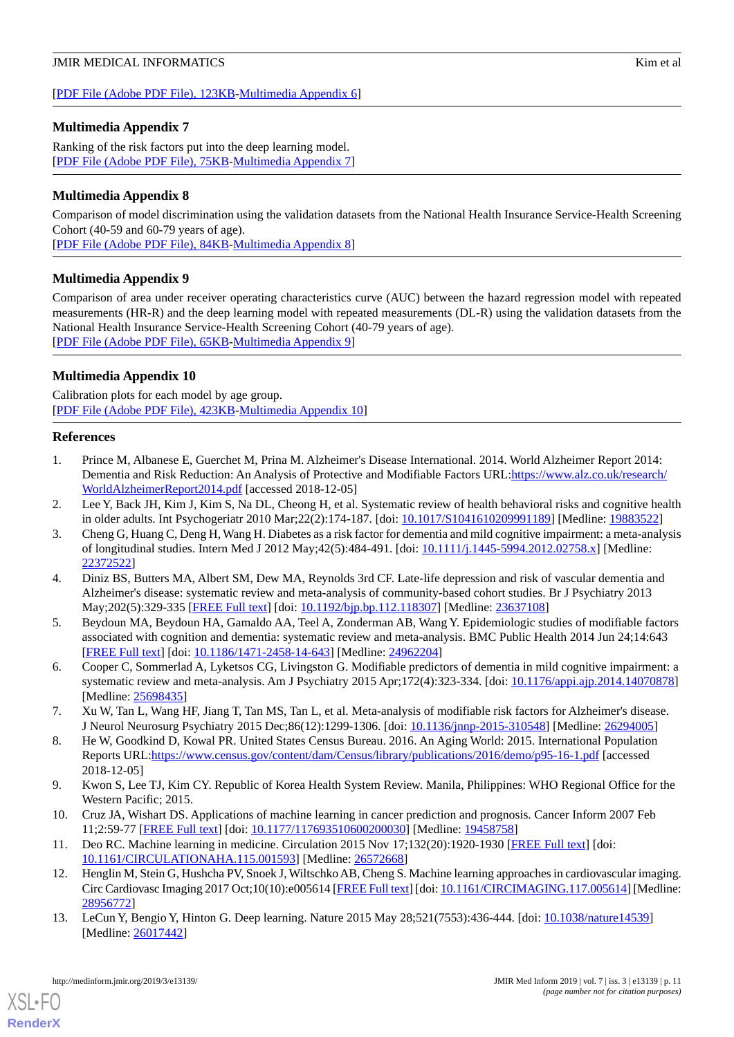## [[PDF File \(Adobe PDF File\), 123KB-Multimedia Appendix 6\]](https://jmir.org/api/download?alt_name=medinform_v7i3e13139_app6.pdf&filename=cbfd63af19395a1fd9b365736bb2baa4.pdf)

# <span id="page-10-8"></span>**Multimedia Appendix 7**

Ranking of the risk factors put into the deep learning model. [[PDF File \(Adobe PDF File\), 75KB-Multimedia Appendix 7\]](https://jmir.org/api/download?alt_name=medinform_v7i3e13139_app7.pdf&filename=eae44c2e3054f1343c79ba3d92527182.pdf)

# <span id="page-10-9"></span>**Multimedia Appendix 8**

Comparison of model discrimination using the validation datasets from the National Health Insurance Service-Health Screening Cohort (40-59 and 60-79 years of age).

<span id="page-10-10"></span>[[PDF File \(Adobe PDF File\), 84KB-Multimedia Appendix 8\]](https://jmir.org/api/download?alt_name=medinform_v7i3e13139_app8.pdf&filename=63d07222d5bf01cfe02c021d8e779d3d.pdf)

# **Multimedia Appendix 9**

Comparison of area under receiver operating characteristics curve (AUC) between the hazard regression model with repeated measurements (HR-R) and the deep learning model with repeated measurements (DL-R) using the validation datasets from the National Health Insurance Service-Health Screening Cohort (40-79 years of age). [[PDF File \(Adobe PDF File\), 65KB-Multimedia Appendix 9\]](https://jmir.org/api/download?alt_name=medinform_v7i3e13139_app9.pdf&filename=2695a84fe35d12054117044084d41aeb.pdf)

# <span id="page-10-11"></span>**Multimedia Appendix 10**

<span id="page-10-0"></span>Calibration plots for each model by age group. [[PDF File \(Adobe PDF File\), 423KB-Multimedia Appendix 10\]](https://jmir.org/api/download?alt_name=medinform_v7i3e13139_app10.pdf&filename=f5cb598cd5b3a2b9ea79e8a34ab2e72a.pdf)

## **References**

- <span id="page-10-1"></span>1. Prince M, Albanese E, Guerchet M, Prina M. Alzheimer's Disease International. 2014. World Alzheimer Report 2014: Dementia and Risk Reduction: An Analysis of Protective and Modifiable Factors URL:[https://www.alz.co.uk/research/](https://www.alz.co.uk/research/WorldAlzheimerReport2014.pdf) [WorldAlzheimerReport2014.pdf](https://www.alz.co.uk/research/WorldAlzheimerReport2014.pdf) [accessed 2018-12-05]
- 2. Lee Y, Back JH, Kim J, Kim S, Na DL, Cheong H, et al. Systematic review of health behavioral risks and cognitive health in older adults. Int Psychogeriatr 2010 Mar;22(2):174-187. [doi: [10.1017/S1041610209991189\]](http://dx.doi.org/10.1017/S1041610209991189) [Medline: [19883522](http://www.ncbi.nlm.nih.gov/entrez/query.fcgi?cmd=Retrieve&db=PubMed&list_uids=19883522&dopt=Abstract)]
- 3. Cheng G, Huang C, Deng H, Wang H. Diabetes as a risk factor for dementia and mild cognitive impairment: a meta-analysis of longitudinal studies. Intern Med J 2012 May;42(5):484-491. [doi: [10.1111/j.1445-5994.2012.02758.x\]](http://dx.doi.org/10.1111/j.1445-5994.2012.02758.x) [Medline: [22372522](http://www.ncbi.nlm.nih.gov/entrez/query.fcgi?cmd=Retrieve&db=PubMed&list_uids=22372522&dopt=Abstract)]
- 4. Diniz BS, Butters MA, Albert SM, Dew MA, Reynolds 3rd CF. Late-life depression and risk of vascular dementia and Alzheimer's disease: systematic review and meta-analysis of community-based cohort studies. Br J Psychiatry 2013 May;202(5):329-335 [\[FREE Full text\]](http://europepmc.org/abstract/MED/23637108) [doi: [10.1192/bjp.bp.112.118307](http://dx.doi.org/10.1192/bjp.bp.112.118307)] [Medline: [23637108](http://www.ncbi.nlm.nih.gov/entrez/query.fcgi?cmd=Retrieve&db=PubMed&list_uids=23637108&dopt=Abstract)]
- <span id="page-10-2"></span>5. Beydoun MA, Beydoun HA, Gamaldo AA, Teel A, Zonderman AB, Wang Y. Epidemiologic studies of modifiable factors associated with cognition and dementia: systematic review and meta-analysis. BMC Public Health 2014 Jun 24;14:643 [[FREE Full text](https://bmcpublichealth.biomedcentral.com/articles/10.1186/1471-2458-14-643)] [doi: [10.1186/1471-2458-14-643\]](http://dx.doi.org/10.1186/1471-2458-14-643) [Medline: [24962204\]](http://www.ncbi.nlm.nih.gov/entrez/query.fcgi?cmd=Retrieve&db=PubMed&list_uids=24962204&dopt=Abstract)
- <span id="page-10-3"></span>6. Cooper C, Sommerlad A, Lyketsos CG, Livingston G. Modifiable predictors of dementia in mild cognitive impairment: a systematic review and meta-analysis. Am J Psychiatry 2015 Apr;172(4):323-334. [doi: [10.1176/appi.ajp.2014.14070878](http://dx.doi.org/10.1176/appi.ajp.2014.14070878)] [Medline: [25698435](http://www.ncbi.nlm.nih.gov/entrez/query.fcgi?cmd=Retrieve&db=PubMed&list_uids=25698435&dopt=Abstract)]
- <span id="page-10-4"></span>7. Xu W, Tan L, Wang HF, Jiang T, Tan MS, Tan L, et al. Meta-analysis of modifiable risk factors for Alzheimer's disease. J Neurol Neurosurg Psychiatry 2015 Dec;86(12):1299-1306. [doi: [10.1136/jnnp-2015-310548\]](http://dx.doi.org/10.1136/jnnp-2015-310548) [Medline: [26294005](http://www.ncbi.nlm.nih.gov/entrez/query.fcgi?cmd=Retrieve&db=PubMed&list_uids=26294005&dopt=Abstract)]
- <span id="page-10-5"></span>8. He W, Goodkind D, Kowal PR. United States Census Bureau. 2016. An Aging World: 2015. International Population Reports URL:<https://www.census.gov/content/dam/Census/library/publications/2016/demo/p95-16-1.pdf> [accessed 2018-12-05]
- <span id="page-10-6"></span>9. Kwon S, Lee TJ, Kim CY. Republic of Korea Health System Review. Manila, Philippines: WHO Regional Office for the Western Pacific; 2015.
- <span id="page-10-7"></span>10. Cruz JA, Wishart DS. Applications of machine learning in cancer prediction and prognosis. Cancer Inform 2007 Feb 11;2:59-77 [\[FREE Full text\]](http://europepmc.org/abstract/MED/19458758) [doi: [10.1177/117693510600200030](http://dx.doi.org/10.1177/117693510600200030)] [Medline: [19458758\]](http://www.ncbi.nlm.nih.gov/entrez/query.fcgi?cmd=Retrieve&db=PubMed&list_uids=19458758&dopt=Abstract)
- 11. Deo RC. Machine learning in medicine. Circulation 2015 Nov 17;132(20):1920-1930 [[FREE Full text](http://europepmc.org/abstract/MED/26572668)] [doi: [10.1161/CIRCULATIONAHA.115.001593\]](http://dx.doi.org/10.1161/CIRCULATIONAHA.115.001593) [Medline: [26572668\]](http://www.ncbi.nlm.nih.gov/entrez/query.fcgi?cmd=Retrieve&db=PubMed&list_uids=26572668&dopt=Abstract)
- 12. Henglin M, Stein G, Hushcha PV, Snoek J, Wiltschko AB, Cheng S. Machine learning approaches in cardiovascular imaging. Circ Cardiovasc Imaging 2017 Oct;10(10):e005614 [\[FREE Full text\]](http://europepmc.org/abstract/MED/28956772) [doi: [10.1161/CIRCIMAGING.117.005614\]](http://dx.doi.org/10.1161/CIRCIMAGING.117.005614) [Medline: [28956772](http://www.ncbi.nlm.nih.gov/entrez/query.fcgi?cmd=Retrieve&db=PubMed&list_uids=28956772&dopt=Abstract)]
- 13. LeCun Y, Bengio Y, Hinton G. Deep learning. Nature 2015 May 28;521(7553):436-444. [doi: [10.1038/nature14539\]](http://dx.doi.org/10.1038/nature14539) [Medline: [26017442](http://www.ncbi.nlm.nih.gov/entrez/query.fcgi?cmd=Retrieve&db=PubMed&list_uids=26017442&dopt=Abstract)]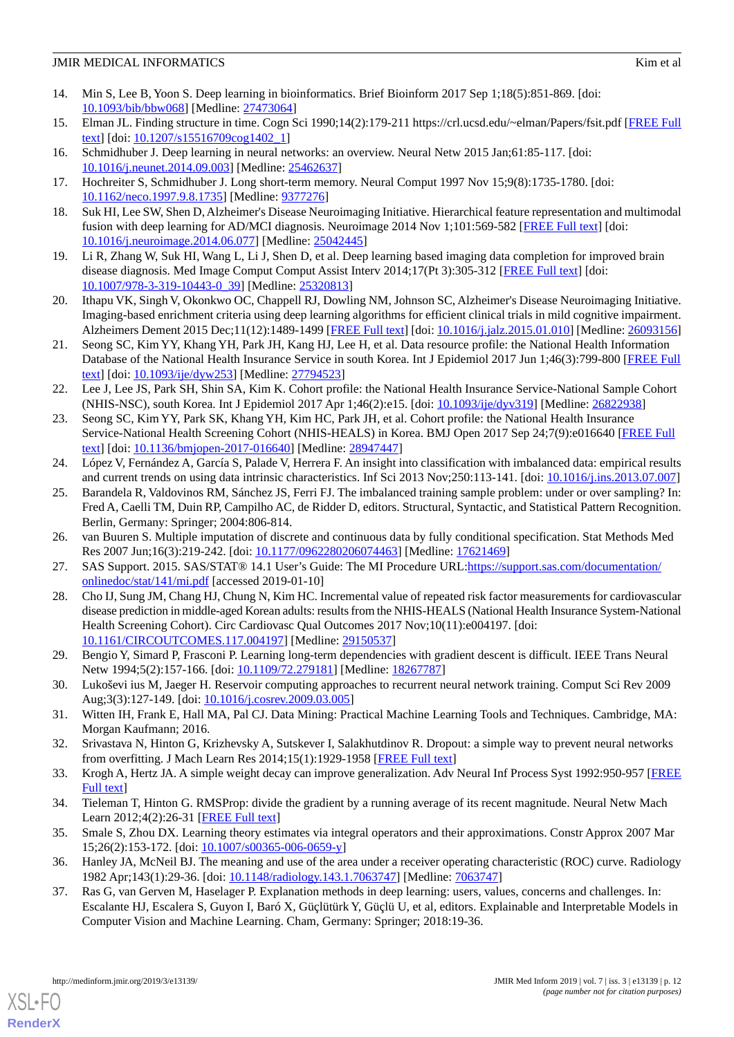- <span id="page-11-0"></span>14. Min S, Lee B, Yoon S. Deep learning in bioinformatics. Brief Bioinform 2017 Sep 1;18(5):851-869. [doi: [10.1093/bib/bbw068\]](http://dx.doi.org/10.1093/bib/bbw068) [Medline: [27473064](http://www.ncbi.nlm.nih.gov/entrez/query.fcgi?cmd=Retrieve&db=PubMed&list_uids=27473064&dopt=Abstract)]
- <span id="page-11-1"></span>15. Elman JL. Finding structure in time. Cogn Sci 1990;14(2):179-211 https://crl.ucsd.edu/~elman/Papers/fsit.pdf [[FREE Full](https://onlinelibrary.wiley.com/doi/abs/10.1207/s15516709cog1402_1) [text](https://onlinelibrary.wiley.com/doi/abs/10.1207/s15516709cog1402_1)] [doi: [10.1207/s15516709cog1402\\_1](http://dx.doi.org/10.1207/s15516709cog1402_1)]
- <span id="page-11-3"></span><span id="page-11-2"></span>16. Schmidhuber J. Deep learning in neural networks: an overview. Neural Netw 2015 Jan;61:85-117. [doi: [10.1016/j.neunet.2014.09.003](http://dx.doi.org/10.1016/j.neunet.2014.09.003)] [Medline: [25462637](http://www.ncbi.nlm.nih.gov/entrez/query.fcgi?cmd=Retrieve&db=PubMed&list_uids=25462637&dopt=Abstract)]
- <span id="page-11-4"></span>17. Hochreiter S, Schmidhuber J. Long short-term memory. Neural Comput 1997 Nov 15;9(8):1735-1780. [doi: [10.1162/neco.1997.9.8.1735\]](http://dx.doi.org/10.1162/neco.1997.9.8.1735) [Medline: [9377276\]](http://www.ncbi.nlm.nih.gov/entrez/query.fcgi?cmd=Retrieve&db=PubMed&list_uids=9377276&dopt=Abstract)
- 18. Suk HI, Lee SW, Shen D, Alzheimer's Disease Neuroimaging Initiative. Hierarchical feature representation and multimodal fusion with deep learning for AD/MCI diagnosis. Neuroimage 2014 Nov 1;101:569-582 [[FREE Full text](http://europepmc.org/abstract/MED/25042445)] [doi: [10.1016/j.neuroimage.2014.06.077\]](http://dx.doi.org/10.1016/j.neuroimage.2014.06.077) [Medline: [25042445\]](http://www.ncbi.nlm.nih.gov/entrez/query.fcgi?cmd=Retrieve&db=PubMed&list_uids=25042445&dopt=Abstract)
- <span id="page-11-5"></span>19. Li R, Zhang W, Suk HI, Wang L, Li J, Shen D, et al. Deep learning based imaging data completion for improved brain disease diagnosis. Med Image Comput Comput Assist Interv 2014;17(Pt 3):305-312 [\[FREE Full text\]](http://europepmc.org/abstract/MED/25320813) [doi: [10.1007/978-3-319-10443-0\\_39](http://dx.doi.org/10.1007/978-3-319-10443-0_39)] [Medline: [25320813\]](http://www.ncbi.nlm.nih.gov/entrez/query.fcgi?cmd=Retrieve&db=PubMed&list_uids=25320813&dopt=Abstract)
- <span id="page-11-6"></span>20. Ithapu VK, Singh V, Okonkwo OC, Chappell RJ, Dowling NM, Johnson SC, Alzheimer's Disease Neuroimaging Initiative. Imaging-based enrichment criteria using deep learning algorithms for efficient clinical trials in mild cognitive impairment. Alzheimers Dement 2015 Dec;11(12):1489-1499 [\[FREE Full text](http://europepmc.org/abstract/MED/26093156)] [doi: [10.1016/j.jalz.2015.01.010](http://dx.doi.org/10.1016/j.jalz.2015.01.010)] [Medline: [26093156](http://www.ncbi.nlm.nih.gov/entrez/query.fcgi?cmd=Retrieve&db=PubMed&list_uids=26093156&dopt=Abstract)]
- <span id="page-11-7"></span>21. Seong SC, Kim YY, Khang YH, Park JH, Kang HJ, Lee H, et al. Data resource profile: the National Health Information Database of the National Health Insurance Service in south Korea. Int J Epidemiol 2017 Jun 1;46(3):799-800 [\[FREE Full](http://europepmc.org/abstract/MED/27794523) [text](http://europepmc.org/abstract/MED/27794523)] [doi: [10.1093/ije/dyw253\]](http://dx.doi.org/10.1093/ije/dyw253) [Medline: [27794523\]](http://www.ncbi.nlm.nih.gov/entrez/query.fcgi?cmd=Retrieve&db=PubMed&list_uids=27794523&dopt=Abstract)
- <span id="page-11-8"></span>22. Lee J, Lee JS, Park SH, Shin SA, Kim K. Cohort profile: the National Health Insurance Service-National Sample Cohort (NHIS-NSC), south Korea. Int J Epidemiol 2017 Apr 1;46(2):e15. [doi: [10.1093/ije/dyv319\]](http://dx.doi.org/10.1093/ije/dyv319) [Medline: [26822938\]](http://www.ncbi.nlm.nih.gov/entrez/query.fcgi?cmd=Retrieve&db=PubMed&list_uids=26822938&dopt=Abstract)
- <span id="page-11-9"></span>23. Seong SC, Kim YY, Park SK, Khang YH, Kim HC, Park JH, et al. Cohort profile: the National Health Insurance Service-National Health Screening Cohort (NHIS-HEALS) in Korea. BMJ Open 2017 Sep 24;7(9):e016640 [[FREE Full](http://bmjopen.bmj.com/cgi/pmidlookup?view=long&pmid=28947447) [text](http://bmjopen.bmj.com/cgi/pmidlookup?view=long&pmid=28947447)] [doi: [10.1136/bmjopen-2017-016640\]](http://dx.doi.org/10.1136/bmjopen-2017-016640) [Medline: [28947447](http://www.ncbi.nlm.nih.gov/entrez/query.fcgi?cmd=Retrieve&db=PubMed&list_uids=28947447&dopt=Abstract)]
- <span id="page-11-10"></span>24. López V, Fernández A, García S, Palade V, Herrera F. An insight into classification with imbalanced data: empirical results and current trends on using data intrinsic characteristics. Inf Sci 2013 Nov;250:113-141. [doi: [10.1016/j.ins.2013.07.007](http://dx.doi.org/10.1016/j.ins.2013.07.007)]
- <span id="page-11-12"></span><span id="page-11-11"></span>25. Barandela R, Valdovinos RM, Sánchez JS, Ferri FJ. The imbalanced training sample problem: under or over sampling? In: Fred A, Caelli TM, Duin RP, Campilho AC, de Ridder D, editors. Structural, Syntactic, and Statistical Pattern Recognition. Berlin, Germany: Springer; 2004:806-814.
- <span id="page-11-13"></span>26. van Buuren S. Multiple imputation of discrete and continuous data by fully conditional specification. Stat Methods Med Res 2007 Jun;16(3):219-242. [doi: [10.1177/0962280206074463\]](http://dx.doi.org/10.1177/0962280206074463) [Medline: [17621469](http://www.ncbi.nlm.nih.gov/entrez/query.fcgi?cmd=Retrieve&db=PubMed&list_uids=17621469&dopt=Abstract)]
- 27. SAS Support. 2015. SAS/STAT® 14.1 User's Guide: The MI Procedure URL[:https://support.sas.com/documentation/](https://support.sas.com/documentation/onlinedoc/stat/141/mi.pdf) [onlinedoc/stat/141/mi.pdf](https://support.sas.com/documentation/onlinedoc/stat/141/mi.pdf) [accessed 2019-01-10]
- <span id="page-11-15"></span><span id="page-11-14"></span>28. Cho IJ, Sung JM, Chang HJ, Chung N, Kim HC. Incremental value of repeated risk factor measurements for cardiovascular disease prediction in middle-aged Korean adults: results from the NHIS-HEALS (National Health Insurance System-National Health Screening Cohort). Circ Cardiovasc Qual Outcomes 2017 Nov;10(11):e004197. [doi: [10.1161/CIRCOUTCOMES.117.004197](http://dx.doi.org/10.1161/CIRCOUTCOMES.117.004197)] [Medline: [29150537\]](http://www.ncbi.nlm.nih.gov/entrez/query.fcgi?cmd=Retrieve&db=PubMed&list_uids=29150537&dopt=Abstract)
- <span id="page-11-16"></span>29. Bengio Y, Simard P, Frasconi P. Learning long-term dependencies with gradient descent is difficult. IEEE Trans Neural Netw 1994;5(2):157-166. [doi: [10.1109/72.279181](http://dx.doi.org/10.1109/72.279181)] [Medline: [18267787](http://www.ncbi.nlm.nih.gov/entrez/query.fcgi?cmd=Retrieve&db=PubMed&list_uids=18267787&dopt=Abstract)]
- <span id="page-11-18"></span><span id="page-11-17"></span>30. Lukoševi ius M, Jaeger H. Reservoir computing approaches to recurrent neural network training. Comput Sci Rev 2009 Aug;3(3):127-149. [doi: [10.1016/j.cosrev.2009.03.005\]](http://dx.doi.org/10.1016/j.cosrev.2009.03.005)
- <span id="page-11-19"></span>31. Witten IH, Frank E, Hall MA, Pal CJ. Data Mining: Practical Machine Learning Tools and Techniques. Cambridge, MA: Morgan Kaufmann; 2016.
- <span id="page-11-20"></span>32. Srivastava N, Hinton G, Krizhevsky A, Sutskever I, Salakhutdinov R. Dropout: a simple way to prevent neural networks from overfitting. J Mach Learn Res 2014;15(1):1929-1958 [\[FREE Full text\]](http://jmlr.org/papers/volume15/srivastava14a/srivastava14a.pdf)
- <span id="page-11-21"></span>33. Krogh A, Hertz JA. A simple weight decay can improve generalization. Adv Neural Inf Process Syst 1992:950-957 [\[FREE](https://papers.nips.cc/paper/563-a-simple-weight-decay-can-improve-generalization.pdf) [Full text\]](https://papers.nips.cc/paper/563-a-simple-weight-decay-can-improve-generalization.pdf)
- <span id="page-11-22"></span>34. Tieleman T, Hinton G. RMSProp: divide the gradient by a running average of its recent magnitude. Neural Netw Mach Learn 2012;4(2):26-31 [[FREE Full text](https://www.cs.toronto.edu/~tijmen/csc321/slides/lecture_slides_lec6.pdf)]
- 35. Smale S, Zhou DX. Learning theory estimates via integral operators and their approximations. Constr Approx 2007 Mar 15;26(2):153-172. [doi: [10.1007/s00365-006-0659-y\]](http://dx.doi.org/10.1007/s00365-006-0659-y)
- 36. Hanley JA, McNeil BJ. The meaning and use of the area under a receiver operating characteristic (ROC) curve. Radiology 1982 Apr;143(1):29-36. [doi: [10.1148/radiology.143.1.7063747](http://dx.doi.org/10.1148/radiology.143.1.7063747)] [Medline: [7063747](http://www.ncbi.nlm.nih.gov/entrez/query.fcgi?cmd=Retrieve&db=PubMed&list_uids=7063747&dopt=Abstract)]
- 37. Ras G, van Gerven M, Haselager P. Explanation methods in deep learning: users, values, concerns and challenges. In: Escalante HJ, Escalera S, Guyon I, Baró X, Güçlütürk Y, Güçlü U, et al, editors. Explainable and Interpretable Models in Computer Vision and Machine Learning. Cham, Germany: Springer; 2018:19-36.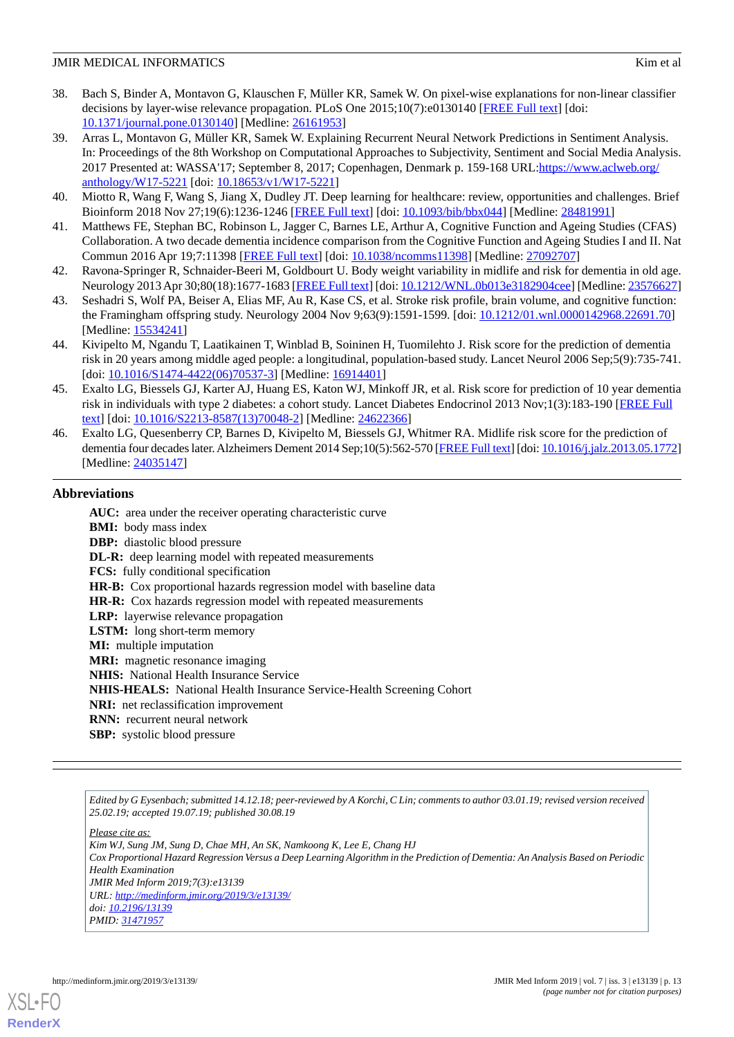- <span id="page-12-0"></span>38. Bach S, Binder A, Montavon G, Klauschen F, Müller KR, Samek W. On pixel-wise explanations for non-linear classifier decisions by layer-wise relevance propagation. PLoS One 2015;10(7):e0130140 [\[FREE Full text](http://dx.plos.org/10.1371/journal.pone.0130140)] [doi: [10.1371/journal.pone.0130140\]](http://dx.doi.org/10.1371/journal.pone.0130140) [Medline: [26161953](http://www.ncbi.nlm.nih.gov/entrez/query.fcgi?cmd=Retrieve&db=PubMed&list_uids=26161953&dopt=Abstract)]
- <span id="page-12-1"></span>39. Arras L, Montavon G, Müller KR, Samek W. Explaining Recurrent Neural Network Predictions in Sentiment Analysis. In: Proceedings of the 8th Workshop on Computational Approaches to Subjectivity, Sentiment and Social Media Analysis. 2017 Presented at: WASSA'17; September 8, 2017; Copenhagen, Denmark p. 159-168 URL[:https://www.aclweb.org/](https://www.aclweb.org/anthology/W17-5221) [anthology/W17-5221](https://www.aclweb.org/anthology/W17-5221) [doi: [10.18653/v1/W17-5221\]](http://dx.doi.org/10.18653/v1/W17-5221)
- <span id="page-12-3"></span><span id="page-12-2"></span>40. Miotto R, Wang F, Wang S, Jiang X, Dudley JT. Deep learning for healthcare: review, opportunities and challenges. Brief Bioinform 2018 Nov 27;19(6):1236-1246 [\[FREE Full text\]](http://europepmc.org/abstract/MED/28481991) [doi: [10.1093/bib/bbx044\]](http://dx.doi.org/10.1093/bib/bbx044) [Medline: [28481991](http://www.ncbi.nlm.nih.gov/entrez/query.fcgi?cmd=Retrieve&db=PubMed&list_uids=28481991&dopt=Abstract)]
- <span id="page-12-4"></span>41. Matthews FE, Stephan BC, Robinson L, Jagger C, Barnes LE, Arthur A, Cognitive Function and Ageing Studies (CFAS) Collaboration. A two decade dementia incidence comparison from the Cognitive Function and Ageing Studies I and II. Nat Commun 2016 Apr 19;7:11398 [[FREE Full text](http://europepmc.org/abstract/MED/27092707)] [doi: [10.1038/ncomms11398\]](http://dx.doi.org/10.1038/ncomms11398) [Medline: [27092707](http://www.ncbi.nlm.nih.gov/entrez/query.fcgi?cmd=Retrieve&db=PubMed&list_uids=27092707&dopt=Abstract)]
- <span id="page-12-5"></span>42. Ravona-Springer R, Schnaider-Beeri M, Goldbourt U. Body weight variability in midlife and risk for dementia in old age. Neurology 2013 Apr 30;80(18):1677-1683 [\[FREE Full text](http://europepmc.org/abstract/MED/23576627)] [doi: [10.1212/WNL.0b013e3182904cee](http://dx.doi.org/10.1212/WNL.0b013e3182904cee)] [Medline: [23576627\]](http://www.ncbi.nlm.nih.gov/entrez/query.fcgi?cmd=Retrieve&db=PubMed&list_uids=23576627&dopt=Abstract)
- 43. Seshadri S, Wolf PA, Beiser A, Elias MF, Au R, Kase CS, et al. Stroke risk profile, brain volume, and cognitive function: the Framingham offspring study. Neurology 2004 Nov 9;63(9):1591-1599. [doi: [10.1212/01.wnl.0000142968.22691.70](http://dx.doi.org/10.1212/01.wnl.0000142968.22691.70)] [Medline: [15534241](http://www.ncbi.nlm.nih.gov/entrez/query.fcgi?cmd=Retrieve&db=PubMed&list_uids=15534241&dopt=Abstract)]
- 44. Kivipelto M, Ngandu T, Laatikainen T, Winblad B, Soininen H, Tuomilehto J. Risk score for the prediction of dementia risk in 20 years among middle aged people: a longitudinal, population-based study. Lancet Neurol 2006 Sep;5(9):735-741. [doi: [10.1016/S1474-4422\(06\)70537-3](http://dx.doi.org/10.1016/S1474-4422(06)70537-3)] [Medline: [16914401\]](http://www.ncbi.nlm.nih.gov/entrez/query.fcgi?cmd=Retrieve&db=PubMed&list_uids=16914401&dopt=Abstract)
- <span id="page-12-6"></span>45. Exalto LG, Biessels GJ, Karter AJ, Huang ES, Katon WJ, Minkoff JR, et al. Risk score for prediction of 10 year dementia risk in individuals with type 2 diabetes: a cohort study. Lancet Diabetes Endocrinol 2013 Nov;1(3):183-190 [[FREE Full](http://europepmc.org/abstract/MED/24622366) [text](http://europepmc.org/abstract/MED/24622366)] [doi: [10.1016/S2213-8587\(13\)70048-2\]](http://dx.doi.org/10.1016/S2213-8587(13)70048-2) [Medline: [24622366](http://www.ncbi.nlm.nih.gov/entrez/query.fcgi?cmd=Retrieve&db=PubMed&list_uids=24622366&dopt=Abstract)]
- 46. Exalto LG, Quesenberry CP, Barnes D, Kivipelto M, Biessels GJ, Whitmer RA. Midlife risk score for the prediction of dementia four decades later. Alzheimers Dement 2014 Sep;10(5):562-570 [\[FREE Full text](https://linkinghub.elsevier.com/retrieve/pii/S1552-5260(13)02465-5)] [doi: [10.1016/j.jalz.2013.05.1772\]](http://dx.doi.org/10.1016/j.jalz.2013.05.1772) [Medline: [24035147](http://www.ncbi.nlm.nih.gov/entrez/query.fcgi?cmd=Retrieve&db=PubMed&list_uids=24035147&dopt=Abstract)]

## **Abbreviations**

**AUC:** area under the receiver operating characteristic curve **BMI:** body mass index **DBP:** diastolic blood pressure **DL-R:** deep learning model with repeated measurements **FCS:** fully conditional specification **HR-B:** Cox proportional hazards regression model with baseline data **HR-R:** Cox hazards regression model with repeated measurements **LRP:** layerwise relevance propagation **LSTM:** long short-term memory **MI:** multiple imputation **MRI:** magnetic resonance imaging **NHIS:** National Health Insurance Service **NHIS-HEALS:** National Health Insurance Service-Health Screening Cohort **NRI:** net reclassification improvement **RNN:** recurrent neural network **SBP:** systolic blood pressure

*Edited by G Eysenbach; submitted 14.12.18; peer-reviewed by A Korchi, C Lin; comments to author 03.01.19; revised version received 25.02.19; accepted 19.07.19; published 30.08.19*

*Please cite as:*

*Kim WJ, Sung JM, Sung D, Chae MH, An SK, Namkoong K, Lee E, Chang HJ Cox Proportional Hazard Regression Versus a Deep Learning Algorithm in the Prediction of Dementia: An Analysis Based on Periodic Health Examination JMIR Med Inform 2019;7(3):e13139*

*URL: <http://medinform.jmir.org/2019/3/e13139/> doi: [10.2196/13139](http://dx.doi.org/10.2196/13139) PMID: [31471957](http://www.ncbi.nlm.nih.gov/entrez/query.fcgi?cmd=Retrieve&db=PubMed&list_uids=31471957&dopt=Abstract)*

**[RenderX](http://www.renderx.com/)**